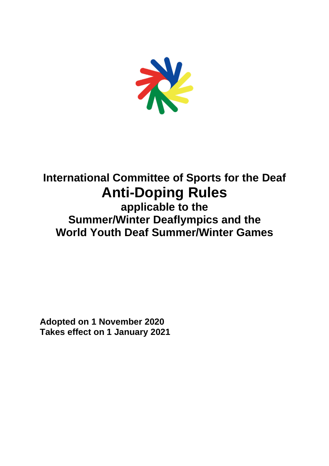

# **International Committee of Sports for the Deaf Anti-Doping Rules applicable to the Summer/Winter Deaflympics and the World Youth Deaf Summer/Winter Games**

**Adopted on 1 November 2020 Takes effect on 1 January 2021**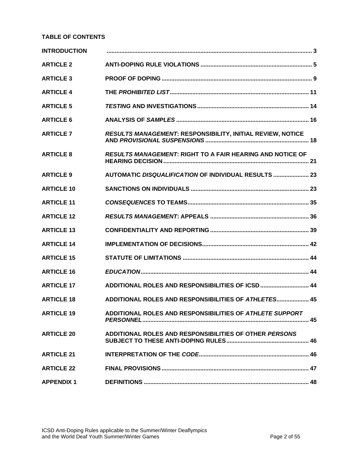## **TABLE OF CONTENTS**

| <b>INTRODUCTION</b> |                                                            |  |
|---------------------|------------------------------------------------------------|--|
| <b>ARTICLE 2</b>    |                                                            |  |
| <b>ARTICLE 3</b>    |                                                            |  |
| <b>ARTICLE 4</b>    |                                                            |  |
| <b>ARTICLE 5</b>    |                                                            |  |
| <b>ARTICLE 6</b>    |                                                            |  |
| <b>ARTICLE 7</b>    | RESULTS MANAGEMENT: RESPONSIBILITY, INITIAL REVIEW, NOTICE |  |
| <b>ARTICLE 8</b>    | RESULTS MANAGEMENT: RIGHT TO A FAIR HEARING AND NOTICE OF  |  |
| <b>ARTICLE 9</b>    | AUTOMATIC DISQUALIFICATION OF INDIVIDUAL RESULTS  23       |  |
| <b>ARTICLE 10</b>   |                                                            |  |
| <b>ARTICLE 11</b>   |                                                            |  |
| <b>ARTICLE 12</b>   |                                                            |  |
| <b>ARTICLE 13</b>   |                                                            |  |
| <b>ARTICLE 14</b>   |                                                            |  |
| <b>ARTICLE 15</b>   |                                                            |  |
| <b>ARTICLE 16</b>   |                                                            |  |
| <b>ARTICLE 17</b>   | ADDITIONAL ROLES AND RESPONSIBILITIES OF ICSD  44          |  |
| <b>ARTICLE 18</b>   | ADDITIONAL ROLES AND RESPONSIBILITIES OF ATHLETES 45       |  |
| <b>ARTICLE 19</b>   | ADDITIONAL ROLES AND RESPONSIBILITIES OF ATHLETE SUPPORT   |  |
| <b>ARTICLE 20</b>   | ADDITIONAL ROLES AND RESPONSIBILITIES OF OTHER PERSONS     |  |
| <b>ARTICLE 21</b>   |                                                            |  |
| <b>ARTICLE 22</b>   |                                                            |  |
| <b>APPENDIX 1</b>   |                                                            |  |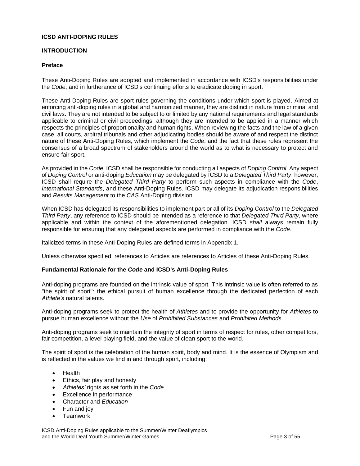## **ICSD ANTI-DOPING RULES**

## <span id="page-2-0"></span>**INTRODUCTION**

#### **Preface**

These Anti-Doping Rules are adopted and implemented in accordance with ICSD's responsibilities under the *Code*, and in furtherance of ICSD's continuing efforts to eradicate doping in sport.

These Anti-Doping Rules are sport rules governing the conditions under which sport is played. Aimed at enforcing anti-doping rules in a global and harmonized manner, they are distinct in nature from criminal and civil laws. They are not intended to be subject to or limited by any national requirements and legal standards applicable to criminal or civil proceedings, although they are intended to be applied in a manner which respects the principles of proportionality and human rights. When reviewing the facts and the law of a given case, all courts, arbitral tribunals and other adjudicating bodies should be aware of and respect the distinct nature of these Anti-Doping Rules, which implement the *Code*, and the fact that these rules represent the consensus of a broad spectrum of stakeholders around the world as to what is necessary to protect and ensure fair sport.

As provided in the *Code*, ICSD shall be responsible for conducting all aspects of *Doping Control*. Any aspect of *Doping Control* or anti-doping *Education* may be delegated by ICSD to a *Delegated Third Party*, however, ICSD shall require the *Delegated Third Party* to perform such aspects in compliance with the *Code*, *International Standards*, and these Anti-Doping Rules. ICSD may delegate its adjudication responsibilities and *Results Management* to the *CAS* Anti-Doping division.

When ICSD has delegated its responsibilities to implement part or all of its *Doping Control* to the *Delegated Third Party*, any reference to ICSD should be intended as a reference to that *Delegated Third Party*, where applicable and within the context of the aforementioned delegation. ICSD *shall* always remain fully responsible for ensuring that any delegated aspects are performed in compliance with the *Code*.

Italicized terms in these Anti-Doping Rules are defined terms in Appendix 1.

Unless otherwise specified, references to Articles are references to Articles of these Anti-Doping Rules.

#### **Fundamental Rationale for the** *Code* **and ICSD's Anti-Doping Rules**

Anti-doping programs are founded on the intrinsic value of sport. This intrinsic value is often referred to as "the spirit of sport": the ethical pursuit of human excellence through the dedicated perfection of each *Athlete's* natural talents.

Anti-doping programs seek to protect the health of *Athletes* and to provide the opportunity for *Athletes* to pursue human excellence without the *Use* of *Prohibited Substances* and *Prohibited Methods*.

Anti-doping programs seek to maintain the integrity of sport in terms of respect for rules, other competitors, fair competition, a level playing field, and the value of clean sport to the world.

The spirit of sport is the celebration of the human spirit, body and mind. It is the essence of Olympism and is reflected in the values we find in and through sport, including:

- Health
- Ethics, fair play and honesty
- *Athletes'* rights as set forth in the *Code*
- Excellence in performance
- Character and *Education*
- Fun and joy
- **Teamwork**

ICSD Anti-Doping Rules applicable to the Summer/Winter Deaflympics and the World Deaf Youth Summer/Winter Games **Page 3** of 55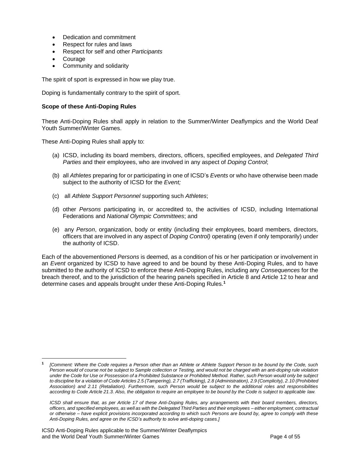- Dedication and commitment
- Respect for rules and laws
- Respect for self and other *Participants*
- **Courage**
- Community and solidarity

The spirit of sport is expressed in how we play true.

Doping is fundamentally contrary to the spirit of sport.

#### **Scope of these Anti-Doping Rules**

These Anti-Doping Rules shall apply in relation to the Summer/Winter Deaflympics and the World Deaf Youth Summer/Winter Games.

These Anti-Doping Rules shall apply to:

- (a) ICSD, including its board members, directors, officers, specified employees, and *Delegated Third Parties* and their employees, who are involved in any aspect of *Doping Control*;
- (b) all *Athletes* preparing for or participating in one of ICSD's *Events* or who have otherwise been made subject to the authority of ICSD for the *Event;*
- (c) all *Athlete Support Personnel* supporting such *Athletes*;
- (d) other *Persons* participating in, or accredited to, the activities of ICSD, including International Federations and *National Olympic Committees*; and
- (e) any *Person*, organization, body or entity (including their employees, board members, directors, officers that are involved in any aspect of *Doping Control)* operating (even if only temporarily) under the authority of ICSD.

Each of the abovementioned *Persons* is deemed, as a condition of his or her participation or involvement in an *Event* organized by ICSD to have agreed to and be bound by these Anti-Doping Rules, and to have submitted to the authority of ICSD to enforce these Anti-Doping Rules, including any *Consequences* for the breach thereof, and to the jurisdiction of the hearing panels specified in Article 8 and Article 12 to hear and determine cases and appeals brought under these Anti-Doping Rules.**<sup>1</sup>**

**<sup>1</sup>** *[Comment: Where the Code requires a Person other than an Athlete or Athlete Support Person to be bound by the Code, such Person would of course not be subject to Sample collection or Testing, and would not be charged with an anti-doping rule violation under the Code for Use or Possession of a Prohibited Substance or Prohibited Method. Rather, such Person would only be subject to discipline for a violation of Code Articles 2.5 (Tampering), 2.7 (Trafficking), 2.8 (Administration), 2.9 (Complicity), 2.10 (Prohibited Association) and 2.11 (Retaliation). Furthermore, such Person would be subject to the additional roles and responsibilities according to Code Article 21.3. Also, the obligation to require an employee to be bound by the Code is subject to applicable law.*

*ICSD shall ensure that, as per Article 17 of these Anti-Doping Rules, any arrangements with their board members, directors, officers, and specified employees, as well as with the Delegated Third Parties and their employees – either employment, contractual or otherwise – have explicit provisions incorporated according to which such Persons are bound by, agree to comply with these Anti-Doping Rules, and agree on the ICSD's authority to solve anti-doping cases.]*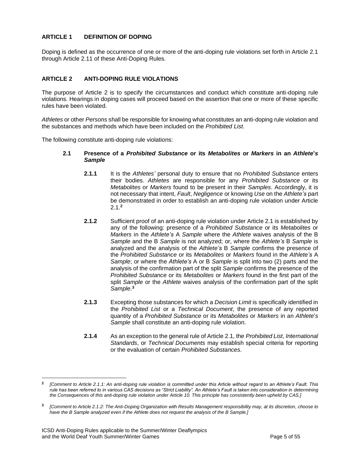## **ARTICLE 1 DEFINITION OF DOPING**

Doping is defined as the occurrence of one or more of the anti-doping rule violations set forth in Article 2.1 through Article 2.11 of these Anti-Doping Rules.

## <span id="page-4-0"></span>**ARTICLE 2 ANTI-DOPING RULE VIOLATIONS**

The purpose of Article 2 is to specify the circumstances and conduct which constitute anti-doping rule violations. Hearings in doping cases will proceed based on the assertion that one or more of these specific rules have been violated.

*Athletes* or other *Persons* shall be responsible for knowing what constitutes an anti-doping rule violation and the substances and methods which have been included on the *Prohibited List*.

The following constitute anti-doping rule violations:

- **2.1 Presence of a** *Prohibited Substance* **or its** *Metabolites* **or** *Markers* **in an** *Athlete***'***s Sample*
	- **2.1.1** It is the *Athletes'* personal duty to ensure that no *Prohibited Substance* enters their bodies. *Athletes* are responsible for any *Prohibited Substance* or its *Metabolites* or *Markers* found to be present in their *Samples*. Accordingly, it is not necessary that intent, *Fault*, *Negligence* or knowing *Use* on the *Athlete's* part be demonstrated in order to establish an anti-doping rule violation under Article 2.1.**<sup>2</sup>**
	- **2.1.2** Sufficient proof of an anti-doping rule violation under Article 2.1 is established by any of the following: presence of a *Prohibited Substance* or its *Metabolites* or *Markers* in the *Athlete's* A *Sample* where the *Athlete* waives analysis of the B *Sample* and the B *Sample* is not analyzed; or, where the *Athlete's* B *Sample* is analyzed and the analysis of the *Athlete's* B *Sample* confirms the presence of the *Prohibited Substance* or its *Metabolites* or *Markers* found in the *Athlete's* A *Sample*; or where the *Athlete's* A or B *Sample* is split into two (2) parts and the analysis of the confirmation part of the split *Sample* confirms the presence of the *Prohibited Substance* or its *Metabolites* or *Markers* found in the first part of the split *Sample* or the *Athlete* waives analysis of the confirmation part of the split *Sample*. **3**
	- **2.1.3** Excepting those substances for which a *Decision Limit* is specifically identified in the *Prohibited List* or a *Technical Document*, the presence of any reported quantity of a *Prohibited Substance* or its *Metabolites* or *Markers* in an *Athlete*'*s Sample* shall constitute an anti-doping rule violation.
	- **2.1.4** As an exception to the general rule of Article 2.1, the *Prohibited List*, *International Standards*, or *Technical Documents* may establish special criteria for reporting or the evaluation of certain *Prohibited Substances*.

**<sup>2</sup>** *[Comment to Article 2.1.1: An anti-doping rule violation is committed under this Article without regard to an Athlete's Fault. This rule has been referred to in various CAS decisions as "Strict Liability". An Athlete's Fault is taken into consideration in determining the Consequences of this anti-doping rule violation under Article 10. This principle has consistently been upheld by CAS.]*

**<sup>3</sup>** *[Comment to Article 2.1.2: The Anti-Doping Organization with Results Management responsibility may, at its discretion, choose to have the B Sample analyzed even if the Athlete does not request the analysis of the B Sample.]*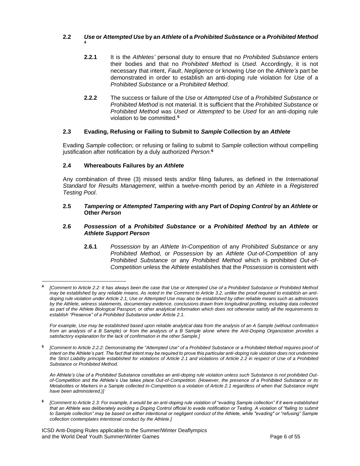## **2.2** *Use* **or** *Attempted Use* **by an** *Athlete* **of a** *Prohibited Substance* **or a** *Prohibited Method*

- **2.2.1** It is the *Athletes'* personal duty to ensure that no *Prohibited Substance* enters their bodies and that no *Prohibited Method* is *Used*. Accordingly, it is not necessary that intent, *Fault*, *Negligence* or knowing *Use* on the *Athlete's* part be demonstrated in order to establish an anti-doping rule violation for *Use* of a *Prohibited Substance* or a *Prohibited Method*.
- **2.2.2** The success or failure of the *Use* or *Attempted Use* of a *Prohibited Substance* or *Prohibited Method* is not material. It is sufficient that the *Prohibited Substance* or *Prohibited Method* was *Used* or *Attempted* to be *Used* for an anti-doping rule violation to be committed.**<sup>5</sup>**

## **2.3 Evading, Refusing or Failing to Submit to** *Sample* **Collection by an** *Athlete*

Evading *Sample* collection; or refusing or failing to submit to *Sample* collection without compelling justification after notification by a duly authorized *Person*. **6**

#### **2.4 Whereabouts Failures by an** *Athlete*

**4**

Any combination of three (3) missed tests and/or filing failures, as defined in the *International Standard* for *Results Management*, within a twelve-month period by an *Athlete* in a *Registered Testing Pool*.

#### **2.5** *Tampering* **or** *Attempted Tampering* **with any Part of** *Doping Control* **by an** *Athlete* **or Other** *Person*

#### **2.6** *Possession* **of a** *Prohibited Substance* **or a** *Prohibited Method* **by an** *Athlete* **or**  *Athlete Support Person*

**2.6.1** *Possession* by an *Athlete In-Competition* of any *Prohibited Substance* or any *Prohibited Method*, or *Possession* by an *Athlete Out-of-Competition* of any *Prohibited Substance* or any *Prohibited Method* which is prohibited *Out-of-Competition* unless the *Athlete* establishes that the *Possession* is consistent with

*For example, Use may be established based upon reliable analytical data from the analysis of an A Sample (without confirmation from an analysis of a B Sample) or from the analysis of a B Sample alone where the Anti-Doping Organization provides a satisfactory explanation for the lack of confirmation in the other Sample.]*

**5** *[Comment to Article 2.2.2: Demonstrating the "Attempted Use" of a Prohibited Substance or a Prohibited Method requires proof of intent on the Athlete's part. The fact that intent may be required to prove this particular anti-doping rule violation does not undermine the Strict Liability principle established for violations of Article 2.1 and violations of Article 2.2 in respect of Use of a Prohibited Substance or Prohibited Method.*

*An Athlete's Use of a Prohibited Substance constitutes an anti-doping rule violation unless such Substance is not prohibited Outof-Competition and the Athlete's Use takes place Out-of-Competition. (However, the presence of a Prohibited Substance or its Metabolites or Markers in a Sample collected In-Competition is a violation of Article 2.1 regardless of when that Substance might have been administered.)]*

**6** *[Comment to Article 2.3: For example, it would be an anti-doping rule violation of "evading Sample collection" if it were established that an Athlete was deliberately avoiding a Doping Control official to evade notification or Testing. A violation of "failing to submit*  to Sample collection" may be based on either intentional or negligent conduct of the Athlete, while "evading" or "refusing" Sample *collection contemplates intentional conduct by the Athlete.]*

ICSD Anti-Doping Rules applicable to the Summer/Winter Deaflympics and the World Deaf Youth Summer/Winter Games **Page 6 of 55** and the World Deaf Youth Summer/Winter Games

**<sup>4</sup>** *[Comment to Article 2.2: It has always been the case that Use or Attempted Use of a Prohibited Substance or Prohibited Method may be established by any reliable means. As noted in the Comment to Article 3.2, unlike the proof required to establish an antidoping rule violation under Article 2.1, Use or Attempted Use may also be established by other reliable means such as admissions by the Athlete, witness statements, documentary evidence, conclusions drawn from longitudinal profiling, including data collected as part of the Athlete Biological Passport, or other analytical information which does not otherwise satisfy all the requirements to establish "Presence" of a Prohibited Substance under Article 2.1.*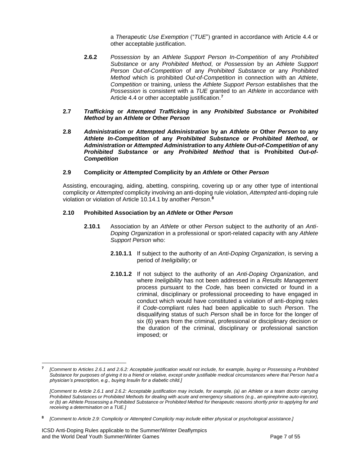a *Therapeutic Use Exemption* ("*TUE*") granted in accordance with Article 4.4 or other acceptable justification.

- **2.6.2** *Possession* by an *Athlete Support Person In-Competition* of any *Prohibited Substance* or any *Prohibited Method*, or *Possession* by an *Athlete Support Person Out-of-Competition* of any *Prohibited Substance* or any *Prohibited Method* which is prohibited *Out-of-Competition* in connection with an *Athlete*, *Competition* or training, unless the *Athlete Support Person* establishes that the *Possession* is consistent with a *TUE* granted to an *Athlete* in accordance with Article 4.4 or other acceptable justification.**<sup>7</sup>**
- **2.7** *Trafficking* **or** *Attempted Trafficking* **in any** *Prohibited Substance* **or** *Prohibited Method* **by an** *Athlete* **or Other** *Person*
- **2.8** *Administration* **or** *Attempted Administration* **by an** *Athlete* **or Other** *Person* **to any**  *Athlete In-Competition* **of any** *Prohibited Substance* **or** *Prohibited Method***, or**  *Administration* **or** *Attempted Administration* **to any** *Athlete Out-of-Competition* **of any**  *Prohibited Substance* **or any** *Prohibited Method* **that is Prohibited** *Out-of-Competition*

#### **2.9 Complicity or** *Attempted* **Complicity by an** *Athlete* **or Other** *Person*

Assisting, encouraging, aiding, abetting, conspiring, covering up or any other type of intentional complicity or *Attempted* complicity involving an anti-doping rule violation, *Attempted* anti-doping rule violation or violation of Article 10.14.1 by another *Person*. **8**

#### **2.10 Prohibited Association by an** *Athlete* **or Other** *Person*

- **2.10.1** Association by an *Athlete* or other *Person* subject to the authority of an *Anti-Doping Organization* in a professional or sport-related capacity with any *Athlete Support Person* who:
	- **2.10.1.1** If subject to the authority of an *Anti-Doping Organization*, is serving a period of *Ineligibility*; or
	- **2.10.1.2** If not subject to the authority of an *Anti-Doping Organization*, and where *Ineligibility* has not been addressed in a *Results Management* process pursuant to the *Code*, has been convicted or found in a criminal, disciplinary or professional proceeding to have engaged in conduct which would have constituted a violation of anti-doping rules if *Code*-compliant rules had been applicable to such *Person*. The disqualifying status of such *Person* shall be in force for the longer of six (6) years from the criminal, professional or disciplinary decision or the duration of the criminal, disciplinary or professional sanction imposed; or

**<sup>7</sup>** *[Comment to Articles 2.6.1 and 2.6.2: Acceptable justification would not include, for example, buying or Possessing a Prohibited Substance for purposes of giving it to a friend or relative, except under justifiable medical circumstances where that Person had a physician's prescription, e.g., buying Insulin for a diabetic child.]*

*<sup>[</sup>Comment to Article 2.6.1 and 2.6.2: Acceptable justification may include, for example, (a) an Athlete or a team doctor carrying Prohibited Substances or Prohibited Methods for dealing with acute and emergency situations (e.g., an epinephrine auto-injector), or (b) an Athlete Possessing a Prohibited Substance or Prohibited Method for therapeutic reasons shortly prior to applying for and receiving a determination on a TUE.]*

**<sup>8</sup>** *[Comment to Article 2.9: Complicity or Attempted Complicity may include either physical or psychological assistance.]*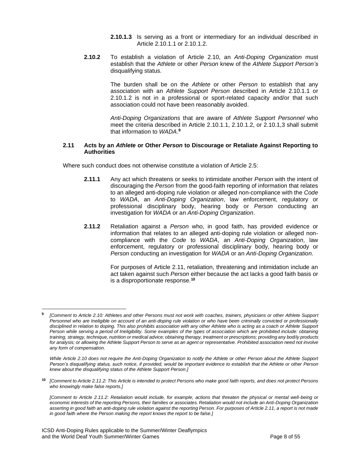**2.10.1.3** Is serving as a front or intermediary for an individual described in Article 2.10.1.1 or 2.10.1.2.

**2.10.2** To establish a violation of Article 2.10, an *Anti-Doping Organization* must establish that the *Athlete* or other *Person* knew of the *Athlete Support Person's* disqualifying status.

> The burden shall be on the *Athlete* or other *Person* to establish that any association with an *Athlete Support Person* described in Article 2.10.1.1 or 2.10.1.2 is not in a professional or sport-related capacity and/or that such association could not have been reasonably avoided.

> *Anti-Doping Organizations* that are aware of *Athlete Support Personnel* who meet the criteria described in Article 2.10.1.1, 2.10.1.2, or 2.10.1,3 shall submit that information to *WADA*. **9**

#### **2.11 Acts by an** *Athlete* **or Other** *Person* **to Discourage or Retaliate Against Reporting to Authorities**

Where such conduct does not otherwise constitute a violation of Article 2.5:

- **2.11.1** Any act which threatens or seeks to intimidate another *Person* with the intent of discouraging the *Person* from the good-faith reporting of information that relates to an alleged anti-doping rule violation or alleged non-compliance with the *Code* to *WADA*, an *Anti-Doping Organization*, law enforcement, regulatory or professional disciplinary body, hearing body or *Person* conducting an investigation for *WADA* or an *Anti-Doping Organization*.
- **2.11.2** Retaliation against a *Person* who, in good faith, has provided evidence or information that relates to an alleged anti-doping rule violation or alleged noncompliance with the *Code* to *WADA*, an *Anti-Doping Organization*, law enforcement, regulatory or professional disciplinary body, hearing body or *Person* conducting an investigation for *WADA* or an *Anti-Doping Organization*.

For purposes of Article 2.11, retaliation, threatening and intimidation include an act taken against such *Person* either because the act lacks a good faith basis or is a disproportionate response.**<sup>10</sup>**

**<sup>10</sup>** *[Comment to Article 2.11.2: This Article is intended to protect Persons who make good faith reports, and does not protect Persons who knowingly make false reports.]*

**<sup>9</sup>** *[Comment to Article 2.10: Athletes and other Persons must not work with coaches, trainers, physicians or other Athlete Support Personnel who are Ineligible on account of an anti-doping rule violation or who have been criminally convicted or professionally disciplined in relation to doping. This also prohibits association with any other Athlete who is acting as a coach or Athlete Support Person while serving a period of Ineligibility. Some examples of the types of association which are prohibited include: obtaining training, strategy, technique, nutrition or medical advice; obtaining therapy, treatment or prescriptions; providing any bodily products*  for analysis; or allowing the Athlete Support Person to serve as an agent or representative. Prohibited association need not involve *any form of compensation.*

*While Article 2.10 does not require the Anti-Doping Organization to notify the Athlete or other Person about the Athlete Support Person's disqualifying status, such notice, if provided, would be important evidence to establish that the Athlete or other Person knew about the disqualifying status of the Athlete Support Person.]*

*<sup>[</sup>Comment to Article 2.11.2: Retaliation would include, for example, actions that threaten the physical or mental well-being or economic interests of the reporting Persons, their families or associates. Retaliation would not include an Anti-Doping Organization asserting in good faith an anti-doping rule violation against the reporting Person. For purposes of Article 2.11, a report is not made in good faith where the Person making the report knows the report to be false.]*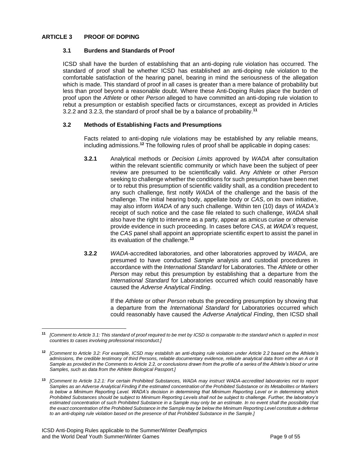## <span id="page-8-0"></span>**ARTICLE 3 PROOF OF DOPING**

## **3.1 Burdens and Standards of Proof**

ICSD shall have the burden of establishing that an anti-doping rule violation has occurred. The standard of proof shall be whether ICSD has established an anti-doping rule violation to the comfortable satisfaction of the hearing panel, bearing in mind the seriousness of the allegation which is made. This standard of proof in all cases is greater than a mere balance of probability but less than proof beyond a reasonable doubt. Where these Anti-Doping Rules place the burden of proof upon the *Athlete* or other *Person* alleged to have committed an anti-doping rule violation to rebut a presumption or establish specified facts or circumstances, except as provided in Articles 3.2.2 and 3.2.3, the standard of proof shall be by a balance of probability.**<sup>11</sup>**

## **3.2 Methods of Establishing Facts and Presumptions**

Facts related to anti-doping rule violations may be established by any reliable means, including admissions.**<sup>12</sup>** The following rules of proof shall be applicable in doping cases:

- **3.2.1** Analytical methods or *Decision Limits* approved by *WADA* after consultation within the relevant scientific community or which have been the subject of peer review are presumed to be scientifically valid. Any *Athlete* or other *Person* seeking to challenge whether the conditions for such presumption have been met or to rebut this presumption of scientific validity shall, as a condition precedent to any such challenge, first notify *WADA* of the challenge and the basis of the challenge. The initial hearing body, appellate body or *CAS*, on its own initiative, may also inform *WADA* of any such challenge. Within ten (10) days of *WADA's* receipt of such notice and the case file related to such challenge, *WADA* shall also have the right to intervene as a party, appear as amicus curiae or otherwise provide evidence in such proceeding. In cases before *CAS*, at *WADA's* request, the *CAS* panel shall appoint an appropriate scientific expert to assist the panel in its evaluation of the challenge.**<sup>13</sup>**
- **3.2.2** *WADA*-accredited laboratories, and other laboratories approved by *WADA*, are presumed to have conducted *Sample* analysis and custodial procedures in accordance with the *International Standard* for Laboratories. The *Athlete* or other *Person* may rebut this presumption by establishing that a departure from the *International Standard* for Laboratories occurred which could reasonably have caused the *Adverse Analytical Finding*.

If the *Athlete* or other *Person* rebuts the preceding presumption by showing that a departure from the *International Standard* for Laboratories occurred which could reasonably have caused the *Adverse Analytical Finding*, then ICSD shall

**<sup>11</sup>** *[Comment to Article 3.1: This standard of proof required to be met by ICSD is comparable to the standard which is applied in most countries to cases involving professional misconduct.]*

**<sup>12</sup>** *[Comment to Article 3.2: For example, ICSD may establish an anti-doping rule violation under Article 2.2 based on the Athlete's admissions, the credible testimony of third Persons, reliable documentary evidence, reliable analytical data from either an A or B Sample as provided in the Comments to Article 2.2, or conclusions drawn from the profile of a series of the Athlete's blood or urine Samples, such as data from the Athlete Biological Passport.]*

**<sup>13</sup>** *[Comment to Article 3.2.1: For certain Prohibited Substances, WADA may instruct WADA-accredited laboratories not to report Samples as an Adverse Analytical Finding if the estimated concentration of the Prohibited Substance or its Metabolites or Markers is below a Minimum Reporting Level. WADA's decision in determining that Minimum Reporting Level or in determining which Prohibited Substances should be subject to Minimum Reporting Levels shall not be subject to challenge. Further, the laboratory's*  estimated concentration of such Prohibited Substance in a Sample may only be an estimate. In no event shall the possibility that *the exact concentration of the Prohibited Substance in the Sample may be below the Minimum Reporting Level constitute a defense to an anti-doping rule violation based on the presence of that Prohibited Substance in the Sample.]*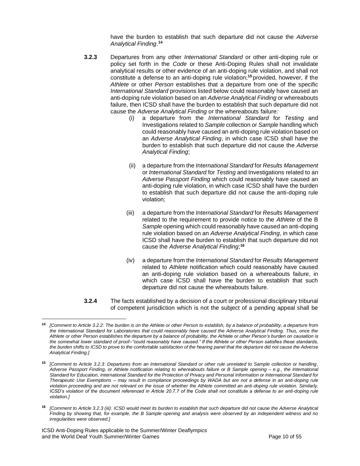have the burden to establish that such departure did not cause the *Adverse Analytical Finding*. **14**

- **3.2.3** Departures from any other *International Standard* or other anti-doping rule or policy set forth in the *Code* or these Anti-Doping Rules shall not invalidate analytical results or other evidence of an anti-doping rule violation, and shall not constitute a defense to an anti-doping rule violation;**<sup>15</sup>** provided, however, if the *Athlete* or other *Person* establishes that a departure from one of the specific *International Standard* provisions listed below could reasonably have caused an anti-doping rule violation based on an *Adverse Analytical Finding* or whereabouts failure, then ICSD shall have the burden to establish that such departure did not cause the *Adverse Analytical Finding* or the whereabouts failure:
	- (i) a departure from the *International Standard* for *Testing* and Investigations related to *Sample* collection or *Sample* handling which could reasonably have caused an anti-doping rule violation based on an *Adverse Analytical Finding*, in which case ICSD shall have the burden to establish that such departure did not cause the *Adverse Analytical Finding*;
	- (ii) a departure from the *International Standard* for *Results Management* or *International Standard* for *Testing* and Investigations related to an *Adverse Passport Finding* which could reasonably have caused an anti-doping rule violation, in which case ICSD shall have the burden to establish that such departure did not cause the anti-doping rule violation;
	- (iii) a departure from the *International Standard* for *Results Management* related to the requirement to provide notice to the *Athlete* of the B Sample opening which could reasonably have caused an anti-doping rule violation based on an *Adverse Analytical Finding*, in which case ICSD shall have the burden to establish that such departure did not cause the *Adverse Analytical Finding*; **16**
	- (iv) a departure from the *International Standard* for *Results Management* related to *Athlete* notification which could reasonably have caused an anti-doping rule violation based on a whereabouts failure, in which case ICSD shall have the burden to establish that such departure did not cause the whereabouts failure.
- **3.2.4** The facts established by a decision of a court or professional disciplinary tribunal of competent jurisdiction which is not the subject of a pending appeal shall be

**<sup>14</sup>** *[Comment to Article 3.2.2: The burden is on the Athlete or other Person to establish, by a balance of probability, a departure from the International Standard for Laboratories that could reasonably have caused the Adverse Analytical Finding. Thus, once the Athlete or other Person establishes the departure by a balance of probability, the Athlete or other Person's burden on causation is the somewhat lower standard of proof–"could reasonably have caused." If the Athlete or other Person satisfies these standards, the burden shifts to ICSD to prove to the comfortable satisfaction of the hearing panel that the departure did not cause the Adverse Analytical Finding.]*

**<sup>15</sup>** *[Comment to Article 3.2.3: Departures from an International Standard or other rule unrelated to Sample collection or handling, Adverse Passport Finding, or Athlete notification relating to whereabouts failure or B Sample opening – e.g., the International Standard for Education, International Standard for the Protection of Privacy and Personal Information or International Standard for Therapeutic Use Exemptions – may result in compliance proceedings by WADA but are not a defense in an anti-doping rule violation proceeding and are not relevant on the issue of whether the Athlete committed an anti-doping rule violation. Similarly, ICSD's violation of the document referenced in Article 20.7.7 of the Code shall not constitute a defense to an anti-doping rule violation.]*

**<sup>16</sup>** *[Comment to Article 3.2.3 (iii): ICSD would meet its burden to establish that such departure did not cause the Adverse Analytical Finding by showing that, for example, the B Sample opening and analysis were observed by an independent witness and no irregularities were observed.]*

ICSD Anti-Doping Rules applicable to the Summer/Winter Deaflympics and the World Deaf Youth Summer/Winter Games **Page 10 of 55** Page 10 of 55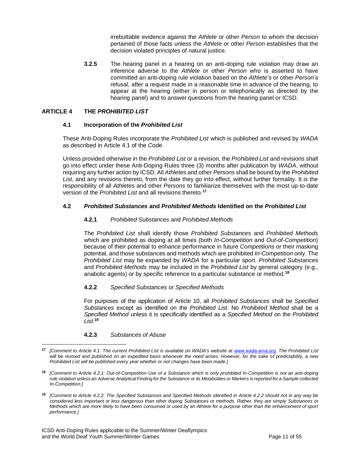irrebuttable evidence against the *Athlete* or other *Person* to whom the decision pertained of those facts unless the *Athlete* or other *Person* establishes that the decision violated principles of natural justice.

**3.2.5** The hearing panel in a hearing on an anti-doping rule violation may draw an inference adverse to the *Athlete* or other *Person* who is asserted to have committed an anti-doping rule violation based on the *Athlete's* or other *Person's* refusal, after a request made in a reasonable time in advance of the hearing, to appear at the hearing (either in person or telephonically as directed by the hearing panel) and to answer questions from the hearing panel or ICSD.

## <span id="page-10-0"></span>**ARTICLE 4 THE** *PROHIBITED LIST*

## **4.1 Incorporation of the** *Prohibited List*

These Anti-Doping Rules incorporate the *Prohibited List* which is published and revised by *WADA* as described in Article 4.1 of the *Code*.

Unless provided otherwise in the *Prohibited List* or a revision, the *Prohibited List* and revisions shall go into effect under these Anti-Doping Rules three (3) months after publication by *WADA*, without requiring any further action by ICSD. All *Athletes* and other *Persons* shall be bound by the *Prohibited List*, and any revisions thereto, from the date they go into effect, without further formality. It is the responsibility of all *Athletes* and other *Persons* to familiarize themselves with the most up-to-date version of the *Prohibited List* and all revisions thereto.**<sup>17</sup>**

## **4.2** *Prohibited Substances* **and** *Prohibited Methods* **Identified on the** *Prohibited List*

## **4.2.1** *Prohibited Substances* and *Prohibited Methods*

The *Prohibited List* shall identify those *Prohibited Substances* and *Prohibited Methods*  which are prohibited as doping at all times (both *In-Competition* and *Out-of-Competition*) because of their potential to enhance performance in future *Competitions* or their masking potential, and those substances and methods which are prohibited *In-Competition* only. The *Prohibited List* may be expanded by *WADA* for a particular sport. *Prohibited Substance*s and *Prohibited Methods* may be included in the *Prohibited List* by general category (e.g., anabolic agents) or by specific reference to a particular substance or method.**<sup>18</sup>**

#### **4.2.2** *Specified Substances* or *Specified Methods*

For purposes of the application of Article 10, all *Prohibited Substances* shall be *Specified Substances* except as identified on the *Prohibited List*. No *Prohibited Method* shall be a *Specified Method* unless it is specifically identified as a *Specified Method* on the *Prohibited List*. **19**

#### **4.2.3** *Substances of Abuse*

**<sup>17</sup>** *[Comment to Article 4.1: The current Prohibited List is available on WADA's website at [www.wada-ama.org.](http://www.wada-ama.org/) The Prohibited List will be revised and published on an expedited basis whenever the need arises. However, for the sake of predictability, a new Prohibited List will be published every year whether or not changes have been made.]*

**<sup>18</sup>** *[Comment to Article 4.2.1: Out-of-Competition Use of a Substance which is only prohibited In-Competition is not an anti-doping rule violation unless an Adverse Analytical Finding for the Substance or its Metabolites or Markers is reported for a Sample collected In-Competition.]*

**<sup>19</sup>** *[Comment to Article 4.2.2: The Specified Substances and Specified Methods identified in Article 4.2.2 should not in any way be considered less important or less dangerous than other doping Substances or methods. Rather, they are simply Substances or Methods which are more likely to have been consumed or used by an Athlete for a purpose other than the enhancement of sport performance.]*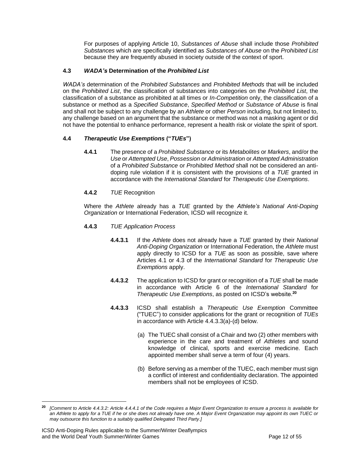For purposes of applying Article 10, *Substances of Abuse* shall include those *Prohibited Substances* which are specifically identified as *Substances of Abuse* on the *Prohibited List* because they are frequently abused in society outside of the context of sport.

## **4.3** *WADA's* **Determination of the** *Prohibited List*

*WADA's* determination of the *Prohibited Substances* and *Prohibited Methods* that will be included on the *Prohibited List*, the classification of substances into categories on the *Prohibited List*, the classification of a substance as prohibited at all times or *In-Competition* only, the classification of a substance or method as a *Specified Substance*, *Specified Method* or *Substance of Abuse* is final and shall not be subject to any challenge by an *Athlete* or other *Person* including, but not limited to, any challenge based on an argument that the substance or method was not a masking agent or did not have the potential to enhance performance, represent a health risk or violate the spirit of sport.

## **4.4** *Therapeutic Use Exemptions* **("***TUEs***")**

**4.4.1** The presence of a *Prohibited Substance* or its *Metabolites* or *Markers*, and/or the *Use* or *Attempted Use*, *Possession* or *Administration* or *Attempted Administration* of a *Prohibited Substance* or *Prohibited Method* shall not be considered an antidoping rule violation if it is consistent with the provisions of a *TUE* granted in accordance with the *International Standard* for *Therapeutic Use Exemptions*.

## **4.4.2** *TUE* Recognition

Where the *Athlete* already has a *TUE* granted by the *Athlete's National Anti-Doping Organization* or International Federation, ICSD will recognize it.

- **4.4.3** *TUE Application Process*
	- **4.4.3.1** If the *Athlete* does not already have a *TUE* granted by their *National Anti-Doping Organization* or International Federation, the *Athlete* must apply directly to ICSD for a *TUE* as soon as possible, save where Articles 4.1 or 4.3 of the *International Standard* for *Therapeutic Use Exemptions* apply.
	- **4.4.3.2** The application to ICSD for grant or recognition of a *TUE* shall be made in accordance with Article 6 of the *International Standard* for *Therapeutic Use Exemptions*, as posted on ICSD's website. **20**
	- **4.4.3.3** ICSD shall establish a *Therapeutic Use Exemption* Committee ("TUEC") to consider applications for the grant or recognition of *TUEs* in accordance with Article 4.4.3.3(a)-(d) below.
		- (a) The TUEC shall consist of a Chair and two (2) other members with experience in the care and treatment of *Athletes* and sound knowledge of clinical, sports and exercise medicine. Each appointed member shall serve a term of four (4) years.
		- (b) Before serving as a member of the TUEC, each member must sign a conflict of interest and confidentiality declaration. The appointed members shall not be employees of ICSD.

**<sup>20</sup>** *[Comment to Article 4.4.3.2: Article 4.4.4.1 of the Code requires a Major Event Organization to ensure a process is available for an Athlete to apply for a TUE if he or she does not already have one. A Major Event Organization may appoint its own TUEC or may outsource this function to a suitably qualified Delegated Third Party*.*]*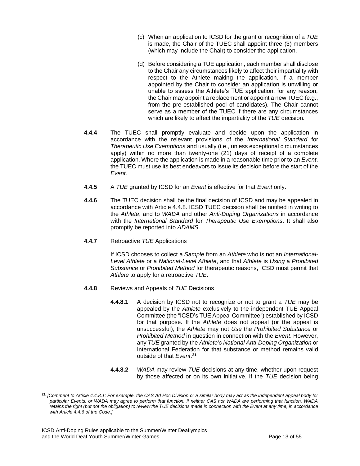- (c) When an application to ICSD for the grant or recognition of a *TUE* is made, the Chair of the TUEC shall appoint three (3) members (which may include the Chair) to consider the application.
- (d) Before considering a TUE application, each member shall disclose to the Chair any circumstances likely to affect their impartiality with respect to the Athlete making the application. If a member appointed by the Chair to consider an application is unwilling or unable to assess the Athlete's TUE application, for any reason, the Chair may appoint a replacement or appoint a new TUEC (e.g., from the pre-established pool of candidates). The Chair cannot serve as a member of the TUEC if there are any circumstances which are likely to affect the impartiality of the *TUE* decision.
- **4.4.4** The TUEC shall promptly evaluate and decide upon the application in accordance with the relevant provisions of the *International Standard* for *Therapeutic Use Exemptions* and usually (i.e., unless exceptional circumstances apply) within no more than twenty-one (21) days of receipt of a complete application. Where the application is made in a reasonable time prior to an *Event*, the TUEC must use its best endeavors to issue its decision before the start of the *Event*.
- **4.4.5** A *TUE* granted by ICSD for an *Event* is effective for that *Event* only.
- **4.4.6** The TUEC decision shall be the final decision of ICSD and may be appealed in accordance with Article 4.4.8. ICSD TUEC decision shall be notified in writing to the *Athlete*, and to *WADA* and other *Anti-Doping Organizations* in accordance with the *International Standard* for *Therapeutic Use Exemptions*. It shall also promptly be reported into *ADAMS*.
- **4.4.7** Retroactive *TUE* Applications

If ICSD chooses to collect a *Sample* from an *Athlete* who is not an *International-Level Athlete* or a *National-Level Athlete*, and that *Athlete* is *Using* a *Prohibited Substance* or *Prohibited Method* for therapeutic reasons, ICSD must permit that *Athlete* to apply for a retroactive *TUE*.

- **4.4.8** Reviews and Appeals of *TUE* Decisions
	- **4.4.8.1** A decision by ICSD not to recognize or not to grant a *TUE* may be appealed by the *Athlete* exclusively to the independent TUE Appeal Committee (the "ICSD's TUE Appeal Committee") established by ICSD for that purpose. If the *Athlete* does not appeal (or the appeal is unsuccessful), the *Athlete* may not *Use* the *Prohibited Substance* or *Prohibited Method* in question in connection with the *Event*. However, any *TUE* granted by the *Athlete's National Anti-Doping Organization* or International Federation for that substance or method remains valid outside of that *Event*. **21**
	- **4.4.8.2** *WADA* may review *TUE* decisions at any time, whether upon request by those affected or on its own initiative. If the *TUE* decision being

**<sup>21</sup>** *[Comment to Article 4.4.8.1: For example, the CAS Ad Hoc Division or a similar body may act as the independent appeal body for particular Events, or WADA may agree to perform that function. If neither CAS nor WADA are performing that function, WADA retains the right (but not the obligation) to review the TUE decisions made in connection with the Event at any time, in accordance with Article 4.4.6 of the Code.]*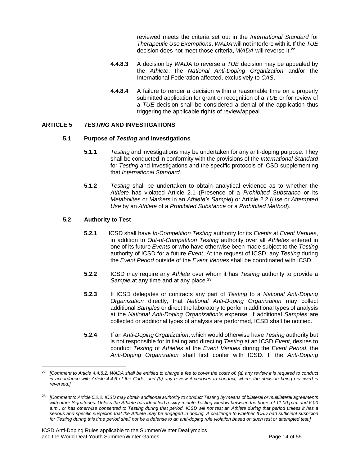reviewed meets the criteria set out in the *International Standard* for *Therapeutic Use Exemptions*, *WADA* will not interfere with it.If the *TUE* decision does not meet those criteria, *WADA* will reverse it.**<sup>22</sup>**

- **4.4.8.3** A decision by *WADA* to reverse a *TUE* decision may be appealed by the *Athlete*, the *National Anti-Doping Organization* and/or the International Federation affected, exclusively to *CAS*.
- **4.4.8.4** A failure to render a decision within a reasonable time on a properly submitted application for grant or recognition of a *TUE* or for review of a *TUE* decision shall be considered a denial of the application thus triggering the applicable rights of review/appeal.

## <span id="page-13-0"></span>**ARTICLE 5** *TESTING* **AND INVESTIGATIONS**

#### **5.1 Purpose of** *Testing* **and Investigations**

- **5.1.1** *Testing* and investigations may be undertaken for any anti-doping purpose. They shall be conducted in conformity with the provisions of the *International Standard* for *Testing* and Investigations and the specific protocols of ICSD supplementing that *International Standard*.
- **5.1.2** *Testing* shall be undertaken to obtain analytical evidence as to whether the *Athlete* has violated Article 2.1 (Presence of a *Prohibited Substance* or its *Metabolites* or *Markers* in an *Athlete's Sample*) or Article 2.2 (*Use* or *Attempted Use* by an *Athlete* of a *Prohibited Substance* or a *Prohibited Method*).

## **5.2 Authority to Test**

- **5.2.1** ICSD shall have *In-Competition Testing* authority for its *Events* at *Event Venues*, in addition to *Out-of-Competition Testing* authority over all *Athletes* entered in one of its future *Events* or who have otherwise been made subject to the *Testing* authority of ICSD for a future *Event*. At the request of ICSD, any *Testing* during the *Event Period* outside of the *Event Venues* shall be coordinated with ICSD.
- **5.2.2** ICSD may require any *Athlete* over whom it has *Testing* authority to provide a *Sample* at any time and at any place.**<sup>23</sup>**
- **5.2.3** If ICSD delegates or contracts any part of *Testing* to a *National Anti-Doping Organization* directly, that *National Anti-Doping Organization* may collect additional *Samples* or direct the laboratory to perform additional types of analysis at the *National Anti-Doping Organization's* expense. If additional *Samples* are collected or additional types of analysis are performed, ICSD shall be notified.
- **5.2.4** If an *Anti-Doping Organization*, which would otherwise have *Testing* authority but is not responsible for initiating and directing *Testing* at an ICSD *Event*, desires to conduct *Testing* of *Athletes* at the *Event Venues* during the *Event Period*, the *Anti-Doping Organization* shall first confer with ICSD. If the *Anti-Doping*

**<sup>22</sup>** *[Comment to Article 4.4.8.2: WADA shall be entitled to charge a fee to cover the costs of: (a) any review it is required to conduct in accordance with Article 4.4.6 of the Code; and (b) any review it chooses to conduct, where the decision being reviewed is reversed.]*

**<sup>23</sup>** *[Comment to Article 5.2.2: ICSD may obtain additional authority to conduct Testing by means of bilateral or multilateral agreements with other Signatories. Unless the Athlete has identified a sixty-minute Testing window between the hours of 11:00 p.m. and 6:00 a.m., or has otherwise consented to Testing during that period, ICSD will not test an Athlete during that period unless it has a serious and specific suspicion that the Athlete may be engaged in doping. A challenge to whether ICSD had sufficient suspicion for Testing during this time period shall not be a defense to an anti-doping rule violation based on such test or attempted test.]*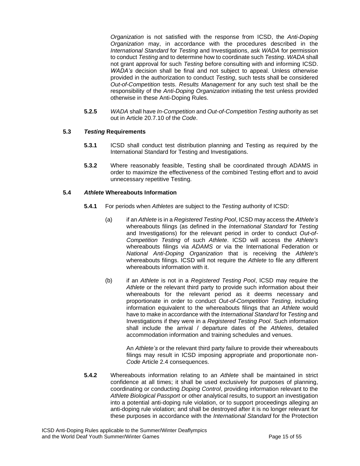*Organization* is not satisfied with the response from ICSD, the *Anti-Doping Organization* may, in accordance with the procedures described in the *International Standard* for *Testing* and Investigations, ask *WADA* for permission to conduct *Testing* and to determine how to coordinate such *Testing*. *WADA* shall not grant approval for such *Testing* before consulting with and informing ICSD. *WADA's* decision shall be final and not subject to appeal. Unless otherwise provided in the authorization to conduct *Testing*, such tests shall be considered *Out-of-Competition* tests. *Results Management* for any such test shall be the responsibility of the *Anti-Doping Organization* initiating the test unless provided otherwise in these Anti-Doping Rules.

**5.2.5** *WADA* shall have *In-Competition* and *Out-of-Competition Testing* authority as set out in Article 20.7.10 of the *Code*.

## **5.3** *Testing* **Requirements**

- **5.3.1** ICSD shall conduct test distribution planning and Testing as required by the International Standard for Testing and Investigations.
- **5.3.2** Where reasonably feasible, Testing shall be coordinated through ADAMS in order to maximize the effectiveness of the combined Testing effort and to avoid unnecessary repetitive Testing.

#### **5.4** *Athlete* **Whereabouts Information**

- **5.4.1** For periods when *Athletes* are subject to the *Testing* authority of ICSD:
	- (a) if an *Athlete* is in a *Registered Testing Pool*, ICSD may access the *Athlete's* whereabouts filings (as defined in the *International Standard* for *Testing* and Investigations) for the relevant period in order to conduct *Out-of-Competition Testing* of such *Athlete*. ICSD will access the *Athlete's*  whereabouts filings via *ADAMS* or via the International Federation or *National Anti-Doping Organization* that is receiving the *Athlete's*  whereabouts filings. ICSD will not require the *Athlete* to file any different whereabouts information with it.
	- (b) if an *Athlete* is not in a *Registered Testing Pool*, ICSD may require the *Athlete* or the relevant third party to provide such information about their whereabouts for the relevant period as it deems necessary and proportionate in order to conduct *Out-of-Competition Testing*, including information equivalent to the whereabouts filings that an *Athlete* would have to make in accordance with the *International Standard* for *Testing* and Investigations if they were in a *Registered Testing Pool*. Such information shall include the arrival / departure dates of the *Athletes*, detailed accommodation information and training schedules and venues.

An *Athlete's* or the relevant third party failure to provide their whereabouts filings may result in ICSD imposing appropriate and proportionate non-*Code* Article 2.4 consequences.

**5.4.2** Whereabouts information relating to an *Athlete* shall be maintained in strict confidence at all times; it shall be used exclusively for purposes of planning, coordinating or conducting *Doping Control*, providing information relevant to the *Athlete Biological Passport* or other analytical results, to support an investigation into a potential anti-doping rule violation, or to support proceedings alleging an anti-doping rule violation; and shall be destroyed after it is no longer relevant for these purposes in accordance with the *International Standard* for the Protection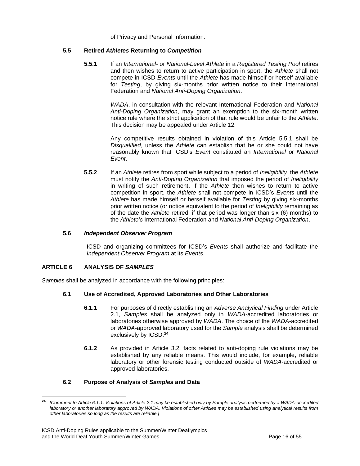of Privacy and Personal Information.

## **5.5 Retired** *Athletes* **Returning to** *Competition*

**5.5.1** If an *International-* or *National-Level Athlete* in a *Registered Testing Pool* retires and then wishes to return to active participation in sport, the *Athlete* shall not compete in ICSD *Events* until the *Athlete* has made himself or herself available for *Testing*, by giving six-months prior written notice to their International Federation and *National Anti-Doping Organization*.

> *WADA*, in consultation with the relevant International Federation and *National Anti-Doping Organization*, may grant an exemption to the six-month written notice rule where the strict application of that rule would be unfair to the *Athlete*. This decision may be appealed under Article 12.

> Any competitive results obtained in violation of this Article 5.5.1 shall be *Disqualified*, unless the *Athlete* can establish that he or she could not have reasonably known that ICSD's *Event* constituted an *International* or *National Event*.

**5.5.2** If an *Athlete* retires from sport while subject to a period of *Ineligibility*, the *Athlete*  must notify the *Anti-Doping Organization* that imposed the period of *Ineligibility* in writing of such retirement. If the *Athlete* then wishes to return to active competition in sport, the *Athlete* shall not compete in ICSD's *Events* until the *Athlete* has made himself or herself available for *Testing* by giving six-months prior written notice (or notice equivalent to the period of *Ineligibility* remaining as of the date the *Athlete* retired, if that period was longer than six (6) months) to the *Athlete's* International Federation and *National Anti-Doping Organization*.

#### **5.6** *Independent Observer Program*

ICSD and organizing committees for ICSD's *Events* shall authorize and facilitate the *Independent Observer Program* at its *Events*.

#### <span id="page-15-0"></span>**ARTICLE 6 ANALYSIS OF** *SAMPLES*

*Samples* shall be analyzed in accordance with the following principles:

## **6.1 Use of Accredited, Approved Laboratories and Other Laboratories**

- **6.1.1** For purposes of directly establishing an *Adverse Analytical Finding* under Article 2.1, *Samples* shall be analyzed only in *WADA*-accredited laboratories or laboratories otherwise approved by *WADA*. The choice of the *WADA*-accredited or *WADA*-approved laboratory used for the *Sample* analysis shall be determined exclusively by ICSD. **24**
- **6.1.2** As provided in Article 3.2, facts related to anti-doping rule violations may be established by any reliable means. This would include, for example, reliable laboratory or other forensic testing conducted outside of *WADA*-accredited or approved laboratories.

## **6.2 Purpose of Analysis of** *Samples* **and Data**

**<sup>24</sup>** *[Comment to Article 6.1.1: Violations of Article 2.1 may be established only by Sample analysis performed by a WADA-accredited laboratory or another laboratory approved by WADA. Violations of other Articles may be established using analytical results from other laboratories so long as the results are reliable.]*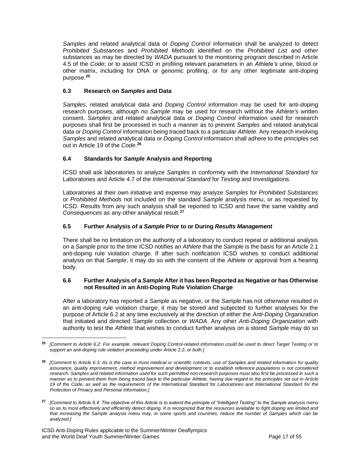*Samples* and related analytical data or *Doping Control* information shall be analyzed to detect *Prohibited Substances* and *Prohibited Methods* identified on the *Prohibited List* and other substances as may be directed by *WADA* pursuant to the monitoring program described in Article 4.5 of the *Code*; or to assist ICSD in profiling relevant parameters in an *Athlete's* urine, blood or other matrix, including for DNA or genomic profiling, or for any other legitimate anti-doping purpose.**<sup>25</sup>**

## **6.3 Research on** *Samples* **and Data**

*Samples*, related analytical data and *Doping Control* information may be used for anti-doping research purposes, although no *Sample* may be used for research without the *Athlete's* written consent. *Samples* and related analytical data or *Doping Control* information used for research purposes shall first be processed in such a manner as to prevent *Samples* and related analytical data or *Doping Control* information being traced back to a particular *Athlete*. Any research involving *Samples* and related analytical data or *Doping Control* information shall adhere to the principles set out in Article 19 of the *Code*. **26**

## **6.4 Standards for** *Sample* **Analysis and Reporting**

ICSD shall ask laboratories to analyze *Samples* in conformity with the *International Standard* for Laboratories and Article 4.7 of the *International Standard* for *Testing* and Investigations.

Laboratories at their own initiative and expense may analyze *Samples* for *Prohibited Substances*  or *Prohibited Methods* not included on the standard *Sample* analysis menu, or as requested by ICSD. Results from any such analysis shall be reported to ICSD and have the same validity and *Consequences* as any other analytical result.**<sup>27</sup>**

## **6.5 Further Analysis of a** *Sample* **Prior to or During** *Results Management*

There shall be no limitation on the authority of a laboratory to conduct repeat or additional analysis on a *Sample* prior to the time ICSD notifies an *Athlete* that the *Sample* is the basis for an Article 2.1 anti-doping rule violation charge. If after such notification ICSD wishes to conduct additional analysis on that *Sample*, it may do so with the consent of the *Athlete* or approval from a hearing body.

#### **6.6 Further Analysis of a** *Sample* **After it has been Reported as Negative or has Otherwise not Resulted in an Anti-Doping Rule Violation Charge**

After a laboratory has reported a *Sample* as negative, or the *Sample* has not otherwise resulted in an anti-doping rule violation charge, it may be stored and subjected to further analyses for the purpose of Article 6.2 at any time exclusively at the direction of either the *Anti-Doping Organization* that initiated and directed *Sample* collection or *WADA*. Any other *Anti-Doping Organization* with authority to test the *Athlete* that wishes to conduct further analysis on a stored *Sample* may do so

**<sup>25</sup>** *[Comment to Article 6.2: For example, relevant Doping Control-related information could be used to direct Target Testing or to support an anti-doping rule violation proceeding under Article 2.2, or both.]*

**<sup>26</sup>** *[Comment to Article 6.3: As is the case in most medical or scientific contexts, use of Samples and related information for quality assurance, quality improvement, method improvement and development or to establish reference populations is not considered*  research. Samples and related information used for such permitted non-research purposes must also first be processed in such a *manner as to prevent them from being traced back to the particular Athlete, having due regard to the principles set out in Article*  19 of the Code, as well as the requirements of the International Standard for Laboratories and International Standard for the *Protection of Privacy and Personal Information.]*

**<sup>27</sup>** *[Comment to Article 6.4: The objective of this Article is to extend the principle of "Intelligent Testing" to the Sample analysis menu so as to most effectively and efficiently detect doping. It is recognized that the resources available to fight doping are limited and*  that increasing the Sample analysis menu may, in some sports and countries, reduce the number of Samples which can be *analyzed.]*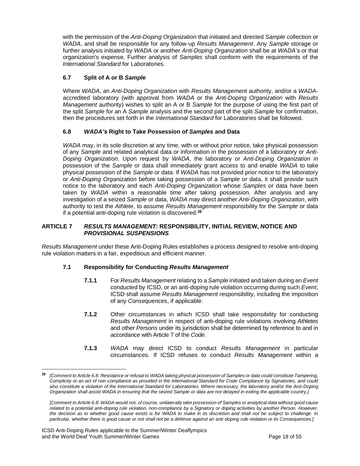with the permission of the *Anti-Doping Organization* that initiated and directed *Sample* collection or *WADA*, and shall be responsible for any follow-up *Results Management*. Any *Sample* storage or further analysis initiated by *WADA* or another *Anti-Doping Organization* shall be at *WADA's* or that organization's expense. Further analysis of *Samples* shall conform with the requirements of the *International Standard* for Laboratories.

# **6.7 Split of A or B** *Sample*

Where *WADA*, an *Anti-Doping Organization* with *Results Management* authority, and/or a *WADA*accredited laboratory (with approval from *WADA* or the *Anti-Doping Organization* with *Results Management* authority) wishes to split an A or B *Sample* for the purpose of using the first part of the split *Sample* for an A *Sample* analysis and the second part of the split *Sample* for confirmation, then the procedures set forth in the *International Standard* for Laboratories shall be followed.

## **6.8** *WADA's* **Right to Take Possession of** *Samples* **and Data**

*WADA* may, in its sole discretion at any time, with or without prior notice, take physical possession of any *Sample* and related analytical data or information in the possession of a laboratory or *Anti-Doping Organization*. Upon request by *WADA*, the laboratory or *Anti-Doping Organization* in possession of the *Sample* or data shall immediately grant access to and enable *WADA* to take physical possession of the *Sample* or data. If *WADA* has not provided prior notice to the laboratory or *Anti-Doping Organization* before taking possession of a *Sample* or data, it shall provide such notice to the laboratory and each *Anti-Doping Organization* whose *Samples* or data have been taken by *WADA* within a reasonable time after taking possession. After analysis and any investigation of a seized *Sample* or data, *WADA* may direct another *Anti-Doping Organization*, with authority to test the *Athlete*, to assume *Results Management* responsibility for the *Sample* or data if a potential anti-doping rule violation is discovered.**<sup>28</sup>**

#### <span id="page-17-0"></span>**ARTICLE 7** *RESULTS MANAGEMENT***: RESPONSIBILITY, INITIAL REVIEW, NOTICE AND**  *PROVISIONAL SUSPENSIONS*

*Results Management* under these Anti-Doping Rules establishes a process designed to resolve anti-doping rule violation matters in a fair, expeditious and efficient manner.

## **7.1 Responsibility for Conducting** *Results Management*

- **7.1.1** For *Results Management* relating to a *Sample*initiated and taken during an *Event* conducted by ICSD, or an anti-doping rule violation occurring during such *Event*, ICSD shall assume *Results Management* responsibility, including the imposition of any *Consequences*, if applicable.
- **7.1.2** Other circumstances in which ICSD shall take responsibility for conducting *Results Management* in respect of anti-doping rule violations involving *Athletes*  and other *Persons* under its jurisdiction shall be determined by reference to and in accordance with Article 7 of the *Code*.
- **7.1.3** *WADA* may direct ICSD to conduct *Results Management* in particular circumstances. If ICSD refuses to conduct *Results Management* within a

**<sup>28</sup>** *[Comment to Article 6.8: Resistance or refusal to WADA taking physical possession of Samples or data could constitute Tampering, Complicity or an act of non-compliance as provided in the International Standard for Code Compliance by Signatories, and could also constitute a violation of the International Standard for Laboratories. Where necessary, the laboratory and/or the Anti-Doping Organization shall assist WADA in ensuring that the seized Sample or data are not delayed in exiting the applicable country.]*

*<sup>[</sup>Comment to Article 6.8: WADA would not, of course, unilaterally take possession of Samples or analytical data without good cause related to a potential anti-doping rule violation, non-compliance by a Signatory or doping activities by another Person. However, the decision as to whether good cause exists is for WADA to make in its discretion and shall not be subject to challenge. In particular, whether there is good cause or not shall not be a defense against an anti-doping rule violation or its Consequences.]*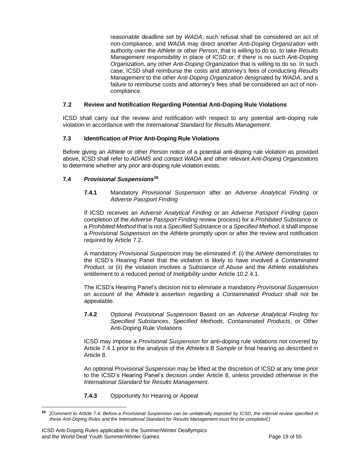reasonable deadline set by *WADA*, such refusal shall be considered an act of non-compliance, and *WADA* may direct another *Anti-Doping Organization* with authority over the *Athlete* or other *Person*, that is willing to do so, to take *Results Management* responsibility in place of ICSD or, if there is no such *Anti-Doping Organization*, any other *Anti-Doping Organization* that is willing to do so. In such case, ICSD shall reimburse the costs and attorney's fees of conducting *Results Management* to the other *Anti-Doping Organization* designated by *WADA*, and a failure to reimburse costs and attorney's fees shall be considered an act of noncompliance.

## **7.2 Review and Notification Regarding Potential Anti-Doping Rule Violations**

ICSD shall carry out the review and notification with respect to any potential anti-doping rule violation in accordance with the *International Standard* for *Results Management*.

## **7.3 Identification of Prior Anti-Doping Rule Violations**

Before giving an *Athlete* or other *Person* notice of a potential anti-doping rule violation as provided above, ICSD shall refer to *ADAMS* and contact *WADA* and other relevant *Anti-Doping Organizations* to determine whether any prior anti-doping rule violation exists.

## **7.4** *Provisional Suspensions***<sup>29</sup>**

**7.4.1** Mandatory *Provisional Suspension* after an *Adverse Analytical Finding* or *Adverse Passport Finding*

If ICSD receives an *Adverse Analytical Finding* or an *Adverse Passport Finding* (upon completion of the *Adverse Passport Finding* review process) for a *Prohibited Substance* or a *Prohibited Method* that is not a *Specified Substance* or a *Specified Method*, it shall impose a *Provisional Suspension* on the *Athlete* promptly upon or after the review and notification required by Article 7.2.

A mandatory *Provisional Suspension* may be eliminated if: (i) the *Athlete* demonstrates to the ICSD's Hearing Panel that the violation is likely to have involved a *Contaminated Product*, or (ii) the violation involves a *Substance of Abuse* and the *Athlete* establishes entitlement to a reduced period of *Ineligibility* under Article 10.2.4.1.

The ICSD's Hearing Panel's decision not to eliminate a mandatory *Provisional Suspension*  on account of the *Athlete's* assertion regarding a *Contaminated Product* shall not be appealable.

**7.4.2** Optional *Provisional Suspension* Based on an *Adverse Analytical Finding* for *Specified Substances*, *Specified Methods*, *Contaminated Products*, or Other Anti-Doping Rule Violations

ICSD may impose a *Provisional Suspension* for anti-doping rule violations not covered by Article 7.4.1 prior to the analysis of the *Athlete's* B *Sample* or final hearing as described in Article 8.

An optional *Provisional Suspension* may be lifted at the discretion of ICSD at any time prior to the ICSD's Hearing Panel's decision under Article 8, unless provided otherwise in the *International Standard* for *Results Management*.

**7.4.3** Opportunity for Hearing or Appeal

**<sup>29</sup>** *[Comment to Article 7.4: Before a Provisional Suspension can be unilaterally imposed by ICSD, the internal review specified in these Anti-Doping Rules and the International Standard* for *Results Management must first be completed.]*

ICSD Anti-Doping Rules applicable to the Summer/Winter Deaflympics and the World Deaf Youth Summer/Winter Games Page 19 of 55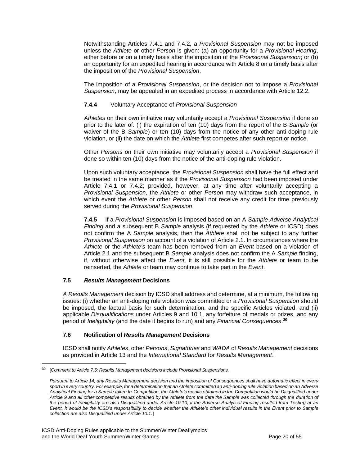Notwithstanding Articles 7.4.1 and 7.4.2, a *Provisional Suspension* may not be imposed unless the *Athlete* or other *Person* is given: (a) an opportunity for a *Provisional Hearing*, either before or on a timely basis after the imposition of the *Provisional Suspension*; or (b) an opportunity for an expedited hearing in accordance with Article 8 on a timely basis after the imposition of the *Provisional Suspension*.

The imposition of a *Provisional Suspension*, or the decision not to impose a *Provisional Suspension*, may be appealed in an expedited process in accordance with Article 12.2.

## **7.4.4** Voluntary Acceptance of *Provisional Suspension*

*Athletes* on their own initiative may voluntarily accept a *Provisional Suspension* if done so prior to the later of: (i) the expiration of ten (10) days from the report of the B *Sample* (or waiver of the B *Sample*) or ten (10) days from the notice of any other anti-doping rule violation, or (ii) the date on which the *Athlete* first competes after such report or notice.

Other *Persons* on their own initiative may voluntarily accept a *Provisional Suspension* if done so within ten (10) days from the notice of the anti-doping rule violation.

Upon such voluntary acceptance, the *Provisional Suspension* shall have the full effect and be treated in the same manner as if the *Provisional Suspension* had been imposed under Article 7.4.1 or 7.4.2; provided, however, at any time after voluntarily accepting a *Provisional Suspension*, the *Athlete* or other *Person* may withdraw such acceptance, in which event the *Athlete* or other *Person* shall not receive any credit for time previously served during the *Provisional Suspension*.

**7.4.5** If a *Provisional Suspension* is imposed based on an A *Sample Adverse Analytical Finding* and a subsequent B *Sample* analysis (if requested by the *Athlete* or ICSD) does not confirm the A *Sample* analysis, then the *Athlete* shall not be subject to any further *Provisional Suspension* on account of a violation of Article 2.1. In circumstances where the *Athlete* or the *Athlete's* team has been removed from an *Event* based on a violation of Article 2.1 and the subsequent B *Sample* analysis does not confirm the A *Sample* finding, if, without otherwise affect the *Event*, it is still possible for the *Athlete* or team to be reinserted, the *Athlete* or team may continue to take part in the *Event*.

## **7.5** *Results Management* **Decisions**

*A Results Management* decision by ICSD shall address and determine, at a minimum, the following issues: (i) whether an anti-doping rule violation was committed or a *Provisional Suspension* should be imposed, the factual basis for such determination, and the specific Articles violated, and (ii) applicable *Disqualifications* under Articles 9 and 10.1, any forfeiture of medals or prizes, and any period of *Ineligibility* (and the date it begins to run) and any *Financial Consequences*. **30**

## **7.6 Notification of** *Results Management* **Decisions**

ICSD shall notify *Athletes*, other *Persons*, *Signatories* and *WADA* of *Results Management* decisions as provided in Article 13 and the *International Standard* for *Results Management*.

**<sup>30</sup>** [*Comment to Article 7.5: Results Management decisions include Provisional Suspensions.*

*Pursuant to Article 14, any Results Management decision and the imposition of Consequences shall have automatic effect in every sport in every country. For example, for a determination that an Athlete committed an anti-doping rule violation based on an Adverse Analytical Finding for a Sample taken In-Competition, the Athlete's results obtained in the Competition would be Disqualified under Article 9 and all other competitive results obtained by the Athlete from the date the Sample was collected through the duration of the period of Ineligibility are also Disqualified under Article 10.10; if the Adverse Analytical Finding resulted from Testing at an Event, it would be the ICSD's responsibility to decide whether the Athlete's other individual results in the Event prior to Sample collection are also Disqualified under Article 10.1.*]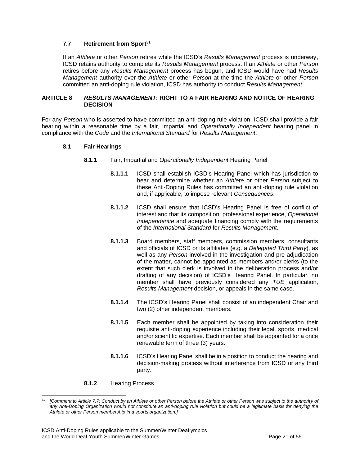## **7.7 Retirement from Sport<sup>31</sup>**

If an *Athlete* or other *Person* retires while the ICSD's *Results Management* process is underway, ICSD retains authority to complete its *Results Management* process. If an *Athlete* or other *Person*  retires before any *Results Management* process has begun, and ICSD would have had *Results Management* authority over the *Athlete* or other *Person* at the time the *Athlete* or other *Person* committed an anti-doping rule violation, ICSD has authority to conduct *Results Management*.

#### <span id="page-20-0"></span>**ARTICLE 8** *RESULTS MANAGEMENT***: RIGHT TO A FAIR HEARING AND NOTICE OF HEARING DECISION**

For any *Person* who is asserted to have committed an anti-doping rule violation, ICSD shall provide a fair hearing within a reasonable time by a fair, impartial and *Operationally Independent* hearing panel in compliance with the *Code* and the *International Standard* for *Results Management*.

#### **8.1 Fair Hearings**

- **8.1.1** Fair, Impartial and *Operationally Independent* Hearing Panel
	- **8.1.1.1** ICSD shall establish ICSD's Hearing Panel which has jurisdiction to hear and determine whether an *Athlete* or other *Person* subject to these Anti-Doping Rules has committed an anti-doping rule violation and, if applicable, to impose relevant *Consequences*.
	- **8.1.1.2** ICSD shall ensure that ICSD's Hearing Panel is free of conflict of interest and that its composition, professional experience, *Operational Independence* and adequate financing comply with the requirements of the *International Standard* for *Results Management*.
	- **8.1.1.3** Board members, staff members, commission members, consultants and officials of ICSD or its affiliates (e.g. a *Delegated Third Party*), as well as any *Person* involved in the investigation and pre-adjudication of the matter, cannot be appointed as members and/or clerks (to the extent that such clerk is involved in the deliberation process and/or drafting of any decision) of ICSD's Hearing Panel. In particular, no member shall have previously considered any *TUE* application, *Results Management* decision, or appeals in the same case.
	- **8.1.1.4** The ICSD's Hearing Panel shall consist of an independent Chair and two (2) other independent members.
	- **8.1.1.5** Each member shall be appointed by taking into consideration their requisite anti-doping experience including their legal, sports, medical and/or scientific expertise. Each member shall be appointed for a once renewable term of three (3) years.
	- **8.1.1.6** ICSD's Hearing Panel shall be in a position to conduct the hearing and decision-making process without interference from ICSD or any third party.

#### **8.1.2** Hearing Process

<sup>31</sup> *[Comment to Article 7.7: Conduct by an Athlete or other Person before the Athlete or other Person was subject to the authority of any Anti-Doping Organization would not constitute an anti-doping rule violation but could be a legitimate basis for denying the Athlete or other Person membership in a sports organization.]*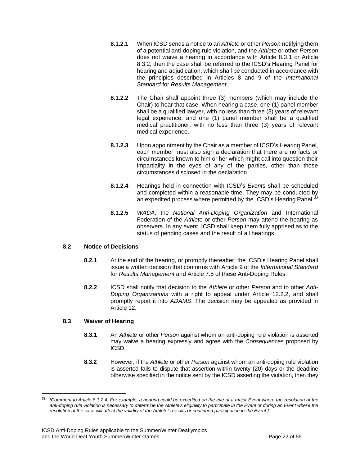- **8.1.2.1** When ICSD sends a notice to an *Athlete* or other *Person* notifying them of a potential anti-doping rule violation, and the *Athlete* or other *Person*  does not waive a hearing in accordance with Article 8.3.1 or Article 8.3.2, then the case shall be referred to the ICSD's Hearing Panel for hearing and adjudication, which shall be conducted in accordance with the principles described in Articles 8 and 9 of the *International Standard* for *Results Management*.
- **8.1.2.2** The Chair shall appoint three (3) members (which may include the Chair) to hear that case. When hearing a case, one (1) panel member shall be a qualified lawyer, with no less than three (3) years of relevant legal experience, and one (1) panel member shall be a qualified medical practitioner, with no less than three (3) years of relevant medical experience.
- **8.1.2.3** Upon appointment by the Chair as a member of ICSD's Hearing Panel, each member must also sign a declaration that there are no facts or circumstances known to him or her which might call into question their impartiality in the eyes of any of the parties, other than those circumstances disclosed in the declaration.
- **8.1.2.4** Hearings held in connection with ICSD's *Event*s shall be scheduled and completed within a reasonable time. They may be conducted by an expedited process where permitted by the ICSD's Hearing Panel. **32**
- **8.1.2.5** *WADA*, the *National Anti-Doping Organization* and International Federation of the *Athlete* or other *Person* may attend the hearing as observers. In any event, ICSD shall keep them fully apprised as to the status of pending cases and the result of all hearings.

## **8.2 Notice of Decisions**

- **8.2.1** At the end of the hearing, or promptly thereafter, the ICSD's Hearing Panel shall issue a written decision that conforms with Article 9 of the *International Standard* for *Results Management* and Article 7.5 of these Anti-Doping Rules.
- **8.2.2** ICSD shall notify that decision to the *Athlete* or other *Person* and to other *Anti-Doping Organizations* with a right to appeal under Article 12.2.2, and shall promptly report it into *ADAMS*. The decision may be appealed as provided in Article 12.

## **8.3 Waiver of Hearing**

- **8.3.1** An *Athlete* or other *Person* against whom an anti-doping rule violation is asserted may waive a hearing expressly and agree with the *Consequences* proposed by ICSD.
- **8.3.2** However, if the *Athlete* or other *Person* against whom an anti-doping rule violation is asserted fails to dispute that assertion within twenty (20) days or the deadline otherwise specified in the notice sent by the ICSD asserting the violation, then they

**<sup>32</sup>** *[Comment to Article 8.1.2.4: For example, a hearing could be expedited on the eve of a major Event where the resolution of the*  anti-doping rule violation is necessary to determine the Athlete's eligibility to participate in the Event or during an Event where the *resolution of the case will affect the validity of the Athlete's results or continued participation in the Event.]*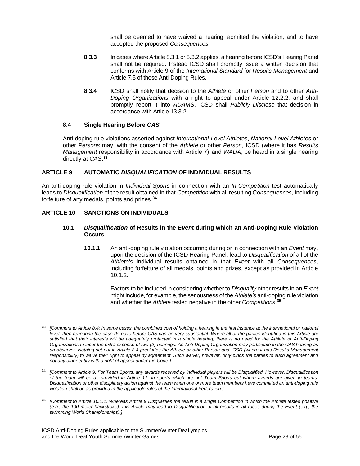shall be deemed to have waived a hearing, admitted the violation, and to have accepted the proposed *Consequences*.

- **8.3.3** In cases where Article 8.3.1 or 8.3.2 applies, a hearing before ICSD's Hearing Panel shall not be required. Instead ICSD shall promptly issue a written decision that conforms with Article 9 of the *International Standard* for *Results Management* and Article 7.5 of these Anti-Doping Rules.
- **8.3.4** ICSD shall notify that decision to the *Athlete* or other *Person* and to other *Anti-Doping Organizations* with a right to appeal under Article 12.2.2, and shall promptly report it into *ADAMS*. ICSD shall *Publicly Disclose* that decision in accordance with Article 13.3.2.

## **8.4 Single Hearing Before** *CAS*

Anti-doping rule violations asserted against *International-Level Athletes*, *National-Level Athletes* or other *Persons* may, with the consent of the *Athlete* or other *Person*, ICSD (where it has *Results Management* responsibility in accordance with Article 7) and *WADA*, be heard in a single hearing directly at *CAS*. **33**

## <span id="page-22-0"></span>**ARTICLE 9 AUTOMATIC** *DISQUALIFICATION* **OF INDIVIDUAL RESULTS**

An anti-doping rule violation in *Individual Sports* in connection with an *In-Competition* test automatically leads to *Disqualification* of the result obtained in that *Competition* with all resulting *Consequences*, including forfeiture of any medals, points and prizes.**<sup>34</sup>**

## <span id="page-22-1"></span>**ARTICLE 10 SANCTIONS ON INDIVIDUALS**

#### **10.1** *Disqualification* **of Results in the** *Event* **during which an Anti-Doping Rule Violation Occurs**

**10.1.1** An anti-doping rule violation occurring during or in connection with an *Event* may, upon the decision of the ICSD Hearing Panel, lead to *Disqualification* of all of the *Athlete's* individual results obtained in that *Event* with all *Consequences*, including forfeiture of all medals, points and prizes, except as provided in Article 10.1.2.

> Factors to be included in considering whether to *Disqualify* other results in an *Event* might include, for example, the seriousness of the *Athlete's* anti-doping rule violation and whether the *Athlete* tested negative in the other *Competitions*. **35**

**<sup>33</sup>** *[Comment to Article 8.4: In some cases, the combined cost of holding a hearing in the first instance at the international or national level, then rehearing the case de novo before CAS can be very substantial. Where all of the parties identified in this Article are satisfied that their interests will be adequately protected in a single hearing, there is no need for the Athlete or Anti-Doping Organizations to incur the extra expense of two (2) hearings. An Anti-Doping Organization may participate in the CAS hearing as an observer. Nothing set out in Article 8.4 precludes the Athlete or other Person and ICSD (where it has Results Management responsibility) to waive their right to appeal by agreement. Such waiver, however, only binds the parties to such agreement and not any other entity with a right of appeal under the Code.]*

**<sup>34</sup>** *[Comment to Article 9: For Team Sports, any awards received by individual players will be Disqualified. However, Disqualification of the team will be as provided in Article 11. In sports which are not Team Sports but where awards are given to teams, Disqualification or other disciplinary action against the team when one or more team members have committed an anti-doping rule violation shall be as provided in the applicable rules of the International Federation.]*

**<sup>35</sup>** *[Comment to Article 10.1.1: Whereas Article 9 Disqualifies the result in a single Competition in which the Athlete tested positive (e.g., the 100 meter backstroke), this Article may lead to Disqualification of all results in all races during the Event (e.g., the swimming World Championships).]*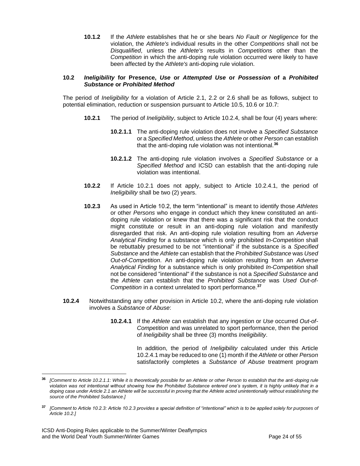**10.1.2** If the *Athlete* establishes that he or she bears *No Fault or Negligence* for the violation, the *Athlete's* individual results in the other *Competitions* shall not be *Disqualified*, unless the *Athlete's* results in *Competitions* other than the *Competition* in which the anti-doping rule violation occurred were likely to have been affected by the *Athlete's* anti-doping rule violation.

#### **10.2** *Ineligibility* **for Presence,** *Use* **or** *Attempted Use* **or** *Possession* **of a** *Prohibited Substance* **or** *Prohibited Method*

The period of *Ineligibility* for a violation of Article 2.1, 2.2 or 2.6 shall be as follows, subject to potential elimination, reduction or suspension pursuant to Article 10.5, 10.6 or 10.7:

- **10.2.1** The period of *Ineligibility*, subject to Article 10.2.4, shall be four (4) years where:
	- **10.2.1.1** The anti-doping rule violation does not involve a *Specified Substance* or a *Specified Method*, unless the *Athlete* or other *Person* can establish that the anti-doping rule violation was not intentional.**<sup>36</sup>**
	- **10.2.1.2** The anti-doping rule violation involves a *Specified Substance* or a *Specified Method* and ICSD can establish that the anti-doping rule violation was intentional.
- **10.2.2** If Article 10.2.1 does not apply, subject to Article 10.2.4.1, the period of *Ineligibility* shall be two (2) years.
- **10.2.3** As used in Article 10.2, the term "intentional" is meant to identify those *Athletes* or other *Persons* who engage in conduct which they knew constituted an antidoping rule violation or knew that there was a significant risk that the conduct might constitute or result in an anti-doping rule violation and manifestly disregarded that risk. An anti-doping rule violation resulting from an *Adverse Analytical Finding* for a substance which is only prohibited *In-Competition* shall be rebuttably presumed to be not "intentional" if the substance is a *Specified Substance* and the *Athlete* can establish that the *Prohibited Substance* was *Used Out-of-Competition*. An anti-doping rule violation resulting from an *Adverse Analytical Finding* for a substance which is only prohibited *In-Competition* shall not be considered "intentional" if the substance is not a *Specified Substance* and the *Athlete* can establish that the *Prohibited Substance* was *Used Out-of-Competition* in a context unrelated to sport performance.**<sup>37</sup>**
- **10.2.4** Notwithstanding any other provision in Article 10.2, where the anti-doping rule violation involves a *Substance of Abuse*:
	- **10.2.4.1** If the *Athlete* can establish that any ingestion or *Use* occurred *Out-of-Competition* and was unrelated to sport performance, then the period of *Ineligibility* shall be three (3) months *Ineligibility*.

In addition, the period of *Ineligibility* calculated under this Article 10.2.4.1 may be reduced to one(1) month if the *Athlete* or other *Person* satisfactorily completes a *Substance of Abuse* treatment program

**<sup>36</sup>** *[Comment to Article 10.2.1.1: While it is theoretically possible for an Athlete or other Person to establish that the anti-doping rule violation was not intentional without showing how the Prohibited Substance entered one's system, it is highly unlikely that in a*  doping case under Article 2.1 an Athlete will be successful in proving that the Athlete acted unintentionally without establishing the *source of the Prohibited Substance.]*

**<sup>37</sup>** *[Comment to Article 10.2.3: Article 10.2.3 provides a special definition of "intentional" which is to be applied solely for purposes of Article 10.2.]*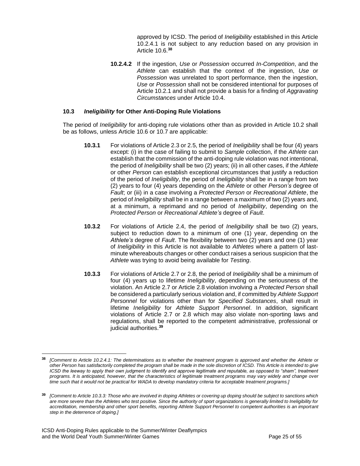approved by ICSD. The period of *Ineligibility* established in this Article 10.2.4.1 is not subject to any reduction based on any provision in Article 10.6.**<sup>38</sup>**

**10.2.4.2** If the ingestion, *Use* or *Possession* occurred *In-Competition*, and the *Athlete* can establish that the context of the ingestion, *Use* or *Possession* was unrelated to sport performance, then the ingestion, *Use* or *Possession* shall not be considered intentional for purposes of Article 10.2.1 and shall not provide a basis for a finding of *Aggravating Circumstances* under Article 10.4.

## **10.3** *Ineligibility* **for Other Anti-Doping Rule Violations**

The period of *Ineligibility* for anti-doping rule violations other than as provided in Article 10.2 shall be as follows, unless Article 10.6 or 10.7 are applicable:

- **10.3.1** For violations of Article 2.3 or 2.5, the period of *Ineligibility* shall be four (4) years except: (i) in the case of failing to submit to *Sample* collection, if the *Athlete* can establish that the commission of the anti-doping rule violation was not intentional, the period of *Ineligibility* shall be two (2) years; (ii) in all other cases, if the *Athlete* or other *Person* can establish exceptional circumstances that justify a reduction of the period of *Ineligibility*, the period of *Ineligibility* shall be in a range from two (2) years to four (4) years depending on the *Athlete* or other *Person's* degree of *Fault*; or (iii) in a case involving a *Protected Person* or *Recreational Athlete*, the period of *Ineligibility* shall be in a range between a maximum of two (2) years and, at a minimum, a reprimand and no period of *Ineligibility*, depending on the *Protected Person* or *Recreational Athlete's* degree of *Fault*.
- **10.3.2** For violations of Article 2.4, the period of *Ineligibility* shall be two (2) years, subject to reduction down to a minimum of one (1) year, depending on the *Athlete's* degree of *Fault*. The flexibility between two (2) years and one (1) year of *Ineligibility* in this Article is not available to *Athletes* where a pattern of lastminute whereabouts changes or other conduct raises a serious suspicion that the *Athlete* was trying to avoid being available for *Testing*.
- **10.3.3** For violations of Article 2.7 or 2.8, the period of *Ineligibility* shall be a minimum of four (4) years up to lifetime *Ineligibility*, depending on the seriousness of the violation. An Article 2.7 or Article 2.8 violation involving a *Protected Person* shall be considered a particularly serious violation and, if committed by *Athlete Support Personnel* for violations other than for *Specified Substances*, shall result in lifetime *Ineligibility* for *Athlete Support Personnel*. In addition, significant violations of Article 2.7 or 2.8 which may also violate non-sporting laws and regulations, shall be reported to the competent administrative, professional or judicial authorities.**<sup>39</sup>**

**<sup>38</sup>** *[Comment to Article 10.2.4.1: The determinations as to whether the treatment program is approved and whether the Athlete or other Person has satisfactorily completed the program shall be made in the sole discretion of ICSD. This Article is intended to give ICSD* the leeway to apply their own judgment to identify and approve legitimate and reputable, as opposed to "sham", treatment *programs. It is anticipated, however, that the characteristics of legitimate treatment programs may vary widely and change over time such that it would not be practical for WADA to develop mandatory criteria for acceptable treatment programs.]*

**<sup>39</sup>** *[Comment to Article 10.3.3: Those who are involved in doping Athletes or covering up doping should be subject to sanctions which are more severe than the Athletes who test positive. Since the authority of sport organizations is generally limited to Ineligibility for accreditation, membership and other sport benefits, reporting Athlete Support Personnel to competent authorities is an important step in the deterrence of doping.]*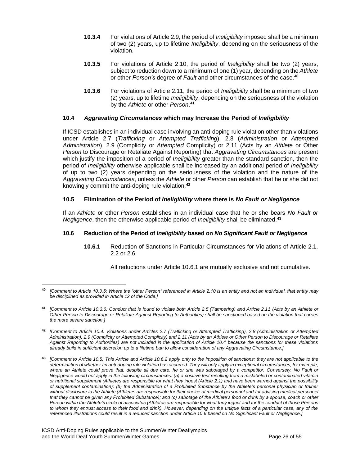- **10.3.4** For violations of Article 2.9, the period of *Ineligibility* imposed shall be a minimum of two (2) years, up to lifetime *Ineligibility*, depending on the seriousness of the violation.
- **10.3.5** For violations of Article 2.10, the period of *Ineligibility* shall be two (2) years, subject to reduction down to a minimum of one (1) year, depending on the *Athlete* or other *Person's* degree of *Fault* and other circumstances of the case.**<sup>40</sup>**
- **10.3.6** For violations of Article 2.11, the period of *Ineligibility* shall be a minimum of two (2) years, up to lifetime *Ineligibility*, depending on the seriousness of the violation by the *Athlete* or other *Person*. **41**

## **10.4** *Aggravating Circumstances* **which may Increase the Period of** *Ineligibility*

If ICSD establishes in an individual case involving an anti-doping rule violation other than violations under Article 2.7 (*Trafficking* or *Attempted Trafficking*), 2.8 (*Administration* or *Attempted Administration*), 2.9 (Complicity or *Attempted* Complicity) or 2.11 (Acts by an *Athlete* or Other *Person* to Discourage or Retaliate Against Reporting) that *Aggravating Circumstances* are present which justify the imposition of a period of *Ineligibility* greater than the standard sanction, then the period of *Ineligibility* otherwise applicable shall be increased by an additional period of *Ineligibility* of up to two (2) years depending on the seriousness of the violation and the nature of the *Aggravating Circumstances*, unless the *Athlete* or other *Person* can establish that he or she did not knowingly commit the anti-doping rule violation.**<sup>42</sup>**

## **10.5 Elimination of the Period of** *Ineligibility* **where there is** *No Fault or Negligence*

If an *Athlete* or other *Person* establishes in an individual case that he or she bears *No Fault or Negligence*, then the otherwise applicable period of *Ineligibility* shall be eliminated.**<sup>43</sup>**

## **10.6 Reduction of the Period of** *Ineligibility* **based on** *No Significant Fault or Negligence*

**10.6.1** Reduction of Sanctions in Particular Circumstances for Violations of Article 2.1, 2.2 or 2.6.

All reductions under Article 10.6.1 are mutually exclusive and not cumulative.

**<sup>40</sup>** *[Comment to Article 10.3.5: Where the "other Person" referenced in Article 2.10 is an entity and not an individual, that entity may be disciplined as provided in Article 12 of the Code.]*

**<sup>41</sup>** *[Comment to Article 10.3.6: Conduct that is found to violate both Article 2.5 (Tampering) and Article 2.11 (Acts by an Athlete or Other Person to Discourage or Retaliate Against Reporting to Authorities) shall be sanctioned based on the violation that carries the more severe sanction.]*

**<sup>42</sup>** *[Comment to Article 10.4: Violations under Articles 2.7 (Trafficking or Attempted Trafficking), 2.8 (Administration or Attempted Administration), 2.9 (Complicity or Attempted Complicity) and 2.11 (Acts by an Athlete or Other Person to Discourage or Retaliate Against Reporting to Authorities) are not included in the application of Article 10.4 because the sanctions for these violations already build in sufficient discretion up to a lifetime ban to allow consideration of any Aggravating Circumstance.]*

**<sup>43</sup>** *[Comment to Article 10.5: This Article and Article 10.6.2 apply only to the imposition of sanctions; they are not applicable to the determination of whether an anti-doping rule violation has occurred. They will only apply in exceptional circumstances, for example, where an Athlete could prove that, despite all due care, he or she was sabotaged by a competitor. Conversely, No Fault or Negligence would not apply in the following circumstances: (a) a positive test resulting from a mislabeled or contaminated vitamin or nutritional supplement (Athletes are responsible for what they ingest (Article 2.1) and have been warned against the possibility of supplement contamination); (b) the Administration of a Prohibited Substance by the Athlete's personal physician or trainer without disclosure to the Athlete (Athletes are responsible for their choice of medical personnel and for advising medical personnel that they cannot be given any Prohibited Substance); and (c) sabotage of the Athlete's food or drink by a spouse, coach or other Person within the Athlete's circle of associates (Athletes are responsible for what they ingest and for the conduct of those Persons to whom they entrust access to their food and drink). However, depending on the unique facts of a particular case, any of the referenced illustrations could result in a reduced sanction under Article 10.6 based on No Significant Fault or Negligence.]*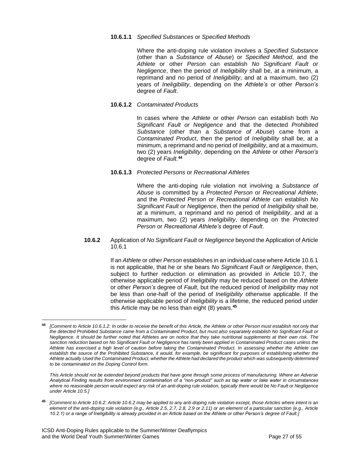#### **10.6.1.1** *Specified Substances* or *Specified Methods*

Where the anti-doping rule violation involves a *Specified Substance* (other than a *Substance of Abuse*) or *Specified Method*, and the *Athlete* or other *Person* can establish *No Significant Fault or Negligence*, then the period of *Ineligibility* shall be, at a minimum, a reprimand and no period of *Ineligibility*, and at a maximum, two (2) years of *Ineligibility*, depending on the *Athlete's* or other *Person's* degree of *Fault*.

#### **10.6.1.2** *Contaminated Products*

In cases where the *Athlete* or other *Person* can establish both *No Significant Fault or Negligence* and that the detected *Prohibited Substance* (other than a *Substance of Abuse*) came from a *Contaminated Product*, then the period of *Ineligibility* shall be, at a minimum, a reprimand and no period of *Ineligibility*, and at a maximum, two (2) years *Ineligibility*, depending on the *Athlete* or other *Person's* degree of *Fault*. **44**

## **10.6.1.3** *Protected Persons* or *Recreational Athletes*

Where the anti-doping rule violation not involving a *Substance of Abuse* is committed by a *Protected Person* or *Recreational Athlete*, and the *Protected Person* or *Recreational Athlete* can establish *No Significant Fault or Negligence*, then the period of *Ineligibility* shall be, at a minimum, a reprimand and no period of *Ineligibility*, and at a maximum, two (2) years *Ineligibility*, depending on the *Protected Person* or *Recreational Athlete's* degree of *Fault*.

**10.6.2** Application of *No Significant Fault* or *Negligence* beyond the Application of Article 10.6.1

> If an *Athlete* or other *Person* establishes in an individual case where Article 10.6.1 is not applicable, that he or she bears *No Significant Fault or Negligence*, then, subject to further reduction or elimination as provided in Article 10.7, the otherwise applicable period of *Ineligibility* may be reduced based on the *Athlete* or other *Person's* degree of *Fault*, but the reduced period of *Ineligibility* may not be less than one-half of the period of *Ineligibility* otherwise applicable. If the otherwise applicable period of *Ineligibility* is a lifetime, the reduced period under this Article may be no less than eight (8) years.**<sup>45</sup>**

*This Article should not be extended beyond products that have gone through some process of manufacturing. Where an Adverse Analytical Finding results from environment contamination of a "non-product" such as tap water or lake water in circumstances where no reasonable person would expect any risk of an anti-doping rule violation, typically there would be No Fault or Negligence under Article 10.5.]*

**<sup>44</sup>** *[Comment to Article 10.6.1.2: In order to receive the benefit of this Article, the Athlete or other Person must establish not only that the detected Prohibited Substance came from a Contaminated Product, but must also separately establish No Significant Fault or Negligence. It should be further noted that Athletes are on notice that they take nutritional supplements at their own risk. The*  sanction reduction based on No Significant Fault or Negligence has rarely been applied in Contaminated Product cases unless the *Athlete has exercised a high level of caution before taking the Contaminated Product. In assessing whether the Athlete can*  establish the source of the Prohibited Substance, it would, for example, be significant for purposes of establishing whether the *Athlete actually Used the Contaminated Product, whether the Athlete had declared the product which was subsequently determined to be contaminated on the Doping Control form.*

**<sup>45</sup>** *[Comment to Article 10.6.2: Article 10.6.2 may be applied to any anti-doping rule violation except, those Articles where intent is an element of the anti-doping rule violation (e.g., Article 2.5, 2.7, 2.8, 2.9 or 2.11) or an element of a particular sanction (e.g., Article 10.2.1) or a range of Ineligibility is already provided in an Article based on the Athlete or other Person's degree of Fault.]*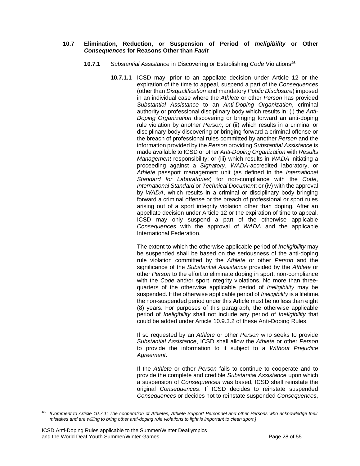#### **10.7 Elimination, Reduction, or Suspension of Period of** *Ineligibility* **or Other** *Consequences* **for Reasons Other than** *Fault*

- **10.7.1** *Substantial Assistance* in Discovering or Establishing *Code* Violations**<sup>46</sup>**
	- **10.7.1.1** ICSD may, prior to an appellate decision under Article 12 or the expiration of the time to appeal, suspend a part of the *Consequences* (other than *Disqualification* and mandatory *Public Disclosure*) imposed in an individual case where the *Athlete* or other *Person* has provided *Substantial Assistance* to an *Anti-Doping Organization*, criminal authority or professional disciplinary body which results in: (i) the *Anti-Doping Organization* discovering or bringing forward an anti-doping rule violation by another *Person*; or (ii) which results in a criminal or disciplinary body discovering or bringing forward a criminal offense or the breach of professional rules committed by another *Person* and the information provided by the *Person* providing *Substantial Assistance* is made available to ICSD or other *Anti-Doping Organization* with *Results Management* responsibility; or (iii) which results in *WADA* initiating a proceeding against a *Signatory*, *WADA*-accredited laboratory, or *Athlete* passport management unit (as defined in the *International Standard for Laboratories*) for non-compliance with the *Code*, *International Standard* or *Technical Document*; or (iv) with the approval by *WADA*, which results in a criminal or disciplinary body bringing forward a criminal offense or the breach of professional or sport rules arising out of a sport integrity violation other than doping. After an appellate decision under Article 12 or the expiration of time to appeal, ICSD may only suspend a part of the otherwise applicable *Consequences* with the approval of *WADA* and the applicable International Federation.

The extent to which the otherwise applicable period of *Ineligibility* may be suspended shall be based on the seriousness of the anti-doping rule violation committed by the *Athlete* or other *Person* and the significance of the *Substantial Assistance* provided by the *Athlete* or other *Person* to the effort to eliminate doping in sport, non-compliance with the *Code* and/or sport integrity violations. No more than threequarters of the otherwise applicable period of *Ineligibility* may be suspended. If the otherwise applicable period of *Ineligibility* is a lifetime, the non-suspended period under this Article must be no less than eight (8) years. For purposes of this paragraph, the otherwise applicable period of *Ineligibility* shall not include any period of *Ineligibility* that could be added under Article 10.9.3.2 of these Anti-Doping Rules.

If so requested by an *Athlete* or other *Person* who seeks to provide *Substantial Assistance*, ICSD shall allow the *Athlete* or other *Person* to provide the information to it subject to a *Without Prejudice Agreement*.

If the *Athlete* or other *Person* fails to continue to cooperate and to provide the complete and credible *Substantial Assistance* upon which a suspension of *Consequences* was based, ICSD shall reinstate the original *Consequences*. If ICSD decides to reinstate suspended *Consequences* or decides not to reinstate suspended *Consequences*,

**<sup>46</sup>** *[Comment to Article 10.7.1: The cooperation of Athletes, Athlete Support Personnel and other Persons who acknowledge their mistakes and are willing to bring other anti-doping rule violations to light is important to clean sport.]*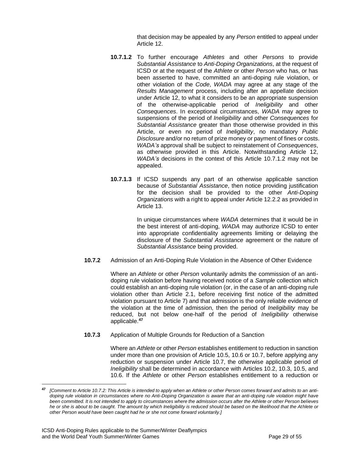that decision may be appealed by any *Person* entitled to appeal under Article 12.

- **10.7.1.2** To further encourage *Athletes* and other *Persons* to provide *Substantial Assistance* to *Anti-Doping Organizations*, at the request of ICSD or at the request of the *Athlete* or other *Person* who has, or has been asserted to have, committed an anti-doping rule violation, or other violation of the *Code*, *WADA* may agree at any stage of the *Results Management* process, including after an appellate decision under Article 12, to what it considers to be an appropriate suspension of the otherwise-applicable period of *Ineligibility* and other *Consequences*. In exceptional circumstances, *WADA* may agree to suspensions of the period of *Ineligibility* and other *Consequences* for *Substantial Assistance* greater than those otherwise provided in this Article, or even no period of *Ineligibility*, no mandatory *Public Disclosure* and/or no return of prize money or payment of fines or costs. *WADA's* approval shall be subject to reinstatement of *Consequences*, as otherwise provided in this Article. Notwithstanding Article 12, *WADA's* decisions in the context of this Article 10.7.1.2 may not be appealed.
- **10.7.1.3** If ICSD suspends any part of an otherwise applicable sanction because of *Substantial Assistance*, then notice providing justification for the decision shall be provided to the other *Anti-Doping Organizations* with a right to appeal under Article 12.2.2 as provided in Article 13.

In unique circumstances where *WADA* determines that it would be in the best interest of anti-doping, *WADA* may authorize ICSD to enter into appropriate confidentiality agreements limiting or delaying the disclosure of the *Substantial Assistance* agreement or the nature of *Substantial Assistance* being provided.

**10.7.2** Admission of an Anti-Doping Rule Violation in the Absence of Other Evidence

Where an *Athlete* or other *Person* voluntarily admits the commission of an antidoping rule violation before having received notice of a *Sample* collection which could establish an anti-doping rule violation (or, in the case of an anti-doping rule violation other than Article 2.1, before receiving first notice of the admitted violation pursuant to Article 7) and that admission is the only reliable evidence of the violation at the time of admission, then the period of *Ineligibility* may be reduced, but not below one-half of the period of *Ineligibility* otherwise applicable.**<sup>47</sup>**

**10.7.3** Application of Multiple Grounds for Reduction of a Sanction

Where an *Athlete* or other *Person* establishes entitlement to reduction in sanction under more than one provision of Article 10.5, 10.6 or 10.7, before applying any reduction or suspension under Article 10.7, the otherwise applicable period of *Ineligibility* shall be determined in accordance with Articles 10.2, 10.3, 10.5, and 10.6. If the *Athlete* or other *Person* establishes entitlement to a reduction or

**<sup>47</sup>** *[Comment to Article 10.7.2: This Article is intended to apply when an Athlete or other Person comes forward and admits to an antidoping rule violation in circumstances where no Anti-Doping Organization is aware that an anti-doping rule violation might have been committed. It is not intended to apply to circumstances where the admission occurs after the Athlete or other Person believes he or she is about to be caught. The amount by which Ineligibility is reduced should be based on the likelihood that the Athlete or other Person would have been caught had he or she not come forward voluntarily.]*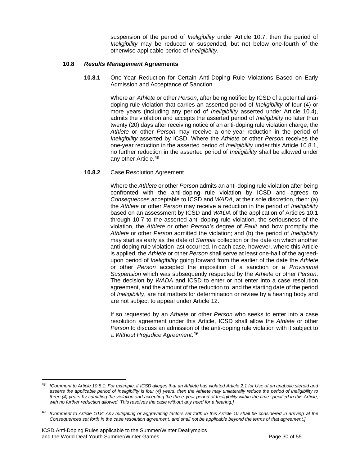suspension of the period of *Ineligibility* under Article 10.7, then the period of *Ineligibility* may be reduced or suspended, but not below one-fourth of the otherwise applicable period of *Ineligibility*.

#### **10.8** *Results Management* **Agreements**

**10.8.1** One-Year Reduction for Certain Anti-Doping Rule Violations Based on Early Admission and Acceptance of Sanction

> Where an *Athlete* or other *Person*, after being notified by ICSD of a potential antidoping rule violation that carries an asserted period of *Ineligibility* of four (4) or more years (including any period of *Ineligibility* asserted under Article 10.4), admits the violation and accepts the asserted period of *Ineligibility* no later than twenty (20) days after receiving notice of an anti-doping rule violation charge, the *Athlete* or other *Person* may receive a one-year reduction in the period of *Ineligibility* asserted by ICSD. Where the *Athlete* or other *Person* receives the one-year reduction in the asserted period of *Ineligibility* under this Article 10.8.1, no further reduction in the asserted period of *Ineligibility* shall be allowed under any other Article.**<sup>48</sup>**

#### **10.8.2** Case Resolution Agreement

Where the *Athlete* or other *Person* admits an anti-doping rule violation after being confronted with the anti-doping rule violation by ICSD and agrees to *Consequences* acceptable to ICSD and *WADA*, at their sole discretion, then: (a) the *Athlete* or other *Person* may receive a reduction in the period of *Ineligibility* based on an assessment by ICSD and *WADA* of the application of Articles 10.1 through 10.7 to the asserted anti-doping rule violation, the seriousness of the violation, the *Athlete* or other *Person's* degree of *Fault* and how promptly the *Athlete* or other *Person* admitted the violation; and (b) the period of *Ineligibility* may start as early as the date of *Sample* collection or the date on which another anti-doping rule violation last occurred. In each case, however, where this Article is applied, the *Athlete* or other *Person* shall serve at least one-half of the agreedupon period of *Ineligibility* going forward from the earlier of the date the *Athlete* or other *Person* accepted the imposition of a sanction or a *Provisional Suspension* which was subsequently respected by the *Athlete* or other *Person*. The decision by *WADA* and ICSD to enter or not enter into a case resolution agreement, and the amount of the reduction to, and the starting date of the period of *Ineligibility*, are not matters for determination or review by a hearing body and are not subject to appeal under Article 12.

If so requested by an *Athlete* or other *Person* who seeks to enter into a case resolution agreement under this Article, ICSD shall allow the *Athlete* or other *Person* to discuss an admission of the anti-doping rule violation with it subject to a *Without Prejudice Agreement*. **49**

**<sup>48</sup>** *[Comment to Article 10.8.1: For example, if ICSD alleges that an Athlete has violated Article 2.1 for Use of an anabolic steroid and asserts the applicable period of Ineligibility is four (4) years, then the Athlete may unilaterally reduce the period of Ineligibility to three (4) years by admitting the violation and accepting the three-year period of Ineligibility within the time specified in this Article, with no further reduction allowed. This resolves the case without any need for a hearing.]*

**<sup>49</sup>** *[Comment to Article 10.8: Any mitigating or aggravating factors set forth in this Article 10 shall be considered in arriving at the Consequences set forth in the case resolution agreement, and shall not be applicable beyond the terms of that agreement.]*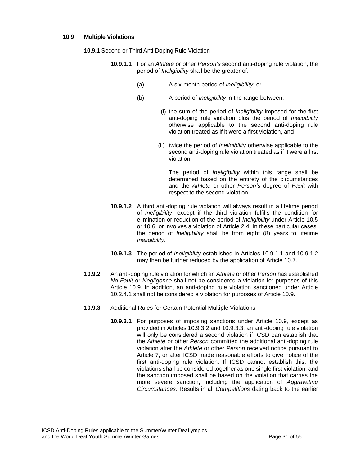#### **10.9 Multiple Violations**

**10.9.1** Second or Third Anti-Doping Rule Violation

- **10.9.1.1** For an *Athlete* or other *Person's* second anti-doping rule violation, the period of *Ineligibility* shall be the greater of:
	- (a) A six-month period of *Ineligibility*; or
	- (b) A period of *Ineligibility* in the range between:
		- (i) the sum of the period of *Ineligibility* imposed for the first anti-doping rule violation plus the period of *Ineligibility* otherwise applicable to the second anti-doping rule violation treated as if it were a first violation, and
		- (ii) twice the period of *Ineligibility* otherwise applicable to the second anti-doping rule violation treated as if it were a first violation.

The period of *Ineligibility* within this range shall be determined based on the entirety of the circumstances and the *Athlete* or other *Person's* degree of *Fault* with respect to the second violation.

- **10.9.1.2** A third anti-doping rule violation will always result in a lifetime period of *Ineligibility*, except if the third violation fulfills the condition for elimination or reduction of the period of *Ineligibility* under Article 10.5 or 10.6, or involves a violation of Article 2.4. In these particular cases, the period of *Ineligibility* shall be from eight (8) years to lifetime *Ineligibility*.
- **10.9.1.3** The period of *Ineligibility* established in Articles 10.9.1.1 and 10.9.1.2 may then be further reduced by the application of Article 10.7.
- **10.9.2** An anti-doping rule violation for which an *Athlete* or other *Person* has established *No Fault* or *Negligence* shall not be considered a violation for purposes of this Article 10.9. In addition, an anti-doping rule violation sanctioned under Article 10.2.4.1 shall not be considered a violation for purposes of Article 10.9.
- **10.9.3** Additional Rules for Certain Potential Multiple Violations
	- **10.9.3.1** For purposes of imposing sanctions under Article 10.9, except as provided in Articles 10.9.3.2 and 10.9.3.3, an anti-doping rule violation will only be considered a second violation if ICSD can establish that the *Athlete* or other *Person* committed the additional anti-doping rule violation after the *Athlete* or other *Person* received notice pursuant to Article 7, or after ICSD made reasonable efforts to give notice of the first anti-doping rule violation. If ICSD cannot establish this, the violations shall be considered together as one single first violation, and the sanction imposed shall be based on the violation that carries the more severe sanction, including the application of *Aggravating Circumstances*. Results in all *Competitions* dating back to the earlier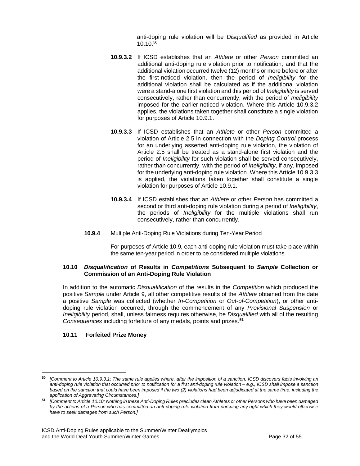anti-doping rule violation will be *Disqualified* as provided in Article 10.10.**<sup>50</sup>**

- **10.9.3.2** If ICSD establishes that an *Athlete* or other *Person* committed an additional anti-doping rule violation prior to notification, and that the additional violation occurred twelve (12) months or more before or after the first-noticed violation, then the period of *Ineligibility* for the additional violation shall be calculated as if the additional violation were a stand-alone first violation and this period of *Ineligibility* is served consecutively, rather than concurrently, with the period of *Ineligibility* imposed for the earlier-noticed violation. Where this Article 10.9.3.2 applies, the violations taken together shall constitute a single violation for purposes of Article 10.9.1.
- **10.9.3.3** If ICSD establishes that an *Athlete* or other *Person* committed a violation of Article 2.5 in connection with the *Doping Control* process for an underlying asserted anti-doping rule violation, the violation of Article 2.5 shall be treated as a stand-alone first violation and the period of *Ineligibility* for such violation shall be served consecutively, rather than concurrently, with the period of *Ineligibility*, if any, imposed for the underlying anti-doping rule violation. Where this Article 10.9.3.3 is applied, the violations taken together shall constitute a single violation for purposes of Article 10.9.1.
- **10.9.3.4** If ICSD establishes that an *Athlete* or other *Person* has committed a second or third anti-doping rule violation during a period of *Ineligibility*, the periods of *Ineligibility* for the multiple violations shall run consecutively, rather than concurrently.
- **10.9.4** Multiple Anti-Doping Rule Violations during Ten-Year Period

For purposes of Article 10.9, each anti-doping rule violation must take place within the same ten-year period in order to be considered multiple violations.

#### **10.10** *Disqualification* **of Results in** *Competitions* **Subsequent to** *Sample* **Collection or Commission of an Anti-Doping Rule Violation**

In addition to the automatic *Disqualification* of the results in the *Competition* which produced the positive *Sample* under Article 9, all other competitive results of the *Athlete* obtained from the date a positive *Sample* was collected (whether *In-Competition* or *Out-of-Competition*), or other antidoping rule violation occurred, through the commencement of any *Provisional Suspension* or *Ineligibility* period, shall, unless fairness requires otherwise, be *Disqualified* with all of the resulting *Consequences* including forfeiture of any medals, points and prizes.**<sup>51</sup>**

## **10.11 Forfeited Prize Money**

**<sup>50</sup>** *[Comment to Article 10.9.3.1: The same rule applies where, after the imposition of a sanction, ICSD discovers facts involving an anti-doping rule violation that occurred prior to notification for a first anti-doping rule violation – e.g., ICSD shall impose a sanction based on the sanction that could have been imposed if the two (2) violations had been adjudicated at the same time, including the application of Aggravating Circumstances.]*

**<sup>51</sup>** *[Comment to Article 10.10: Nothing in these Anti-Doping Rules precludes clean Athletes or other Persons who have been damaged by the actions of a Person who has committed an anti-doping rule violation from pursuing any right which they would otherwise have to seek damages from such Person.]*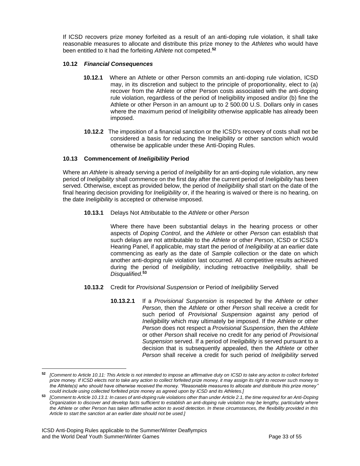If ICSD recovers prize money forfeited as a result of an anti-doping rule violation, it shall take reasonable measures to allocate and distribute this prize money to the *Athletes* who would have been entitled to it had the forfeiting *Athlete* not competed.**<sup>52</sup>**

## **10.12** *Financial Consequences*

- **10.12.1** Where an Athlete or other Person commits an anti-doping rule violation, ICSD may, in its discretion and subject to the principle of proportionality, elect to (a) recover from the Athlete or other Person costs associated with the anti-doping rule violation, regardless of the period of Ineligibility imposed and/or (b) fine the Athlete or other Person in an amount up to 2 500.00 U.S. Dollars only in cases where the maximum period of Ineligibility otherwise applicable has already been imposed.
- **10.12.2** The imposition of a financial sanction or the ICSD's recovery of costs shall not be considered a basis for reducing the Ineligibility or other sanction which would otherwise be applicable under these Anti-Doping Rules.

## **10.13 Commencement of** *Ineligibility* **Period**

Where an *Athlete* is already serving a period of *Ineligibility* for an anti-doping rule violation, any new period of *Ineligibility* shall commence on the first day after the current period of *Ineligibility* has been served. Otherwise, except as provided below, the period of *Ineligibility* shall start on the date of the final hearing decision providing for *Ineligibility* or, if the hearing is waived or there is no hearing, on the date *Ineligibility* is accepted or otherwise imposed.

**10.13.1** Delays Not Attributable to the *Athlete* or other *Person*

Where there have been substantial delays in the hearing process or other aspects of *Doping Control*, and the *Athlete* or other *Person* can establish that such delays are not attributable to the *Athlete* or other *Person*, ICSD or ICSD's Hearing Panel, if applicable, may start the period of *Ineligibility* at an earlier date commencing as early as the date of *Sample* collection or the date on which another anti-doping rule violation last occurred. All competitive results achieved during the period of *Ineligibility*, including retroactive *Ineligibility*, shall be *Disqualified*. **53**

#### **10.13.2** Credit for *Provisional Suspension* or Period of *Ineligibility* Served

**10.13.2.1** If a *Provisional Suspension* is respected by the *Athlete* or other *Person*, then the *Athlete* or other *Person* shall receive a credit for such period of *Provisional Suspension* against any period of *Ineligibility* which may ultimately be imposed. If the *Athlete* or other *Person* does not respect a *Provisional Suspension*, then the *Athlete* or other *Person* shall receive no credit for any period of *Provisional Suspension* served. If a period of *Ineligibility* is served pursuant to a decision that is subsequently appealed, then the *Athlete* or other *Person* shall receive a credit for such period of *Ineligibility* served

**<sup>52</sup>** *[Comment to Article 10.11: This Article is not intended to impose an affirmative duty on ICSD to take any action to collect forfeited prize money. If ICSD elects not to take any action to collect forfeited prize money, it may assign its right to recover such money to the Athlete(s) who should have otherwise received the money. "Reasonable measures to allocate and distribute this prize money" could include using collected forfeited prize money as agreed upon by ICSD and its Athletes.]*

**<sup>53</sup>** *[Comment to Article 10.13.1: In cases of anti-doping rule violations other than under Article 2.1, the time required for an Anti-Doping Organization to discover and develop facts sufficient to establish an anti-doping rule violation may be lengthy, particularly where the Athlete or other Person has taken affirmative action to avoid detection. In these circumstances, the flexibility provided in this Article to start the sanction at an earlier date should not be used.]*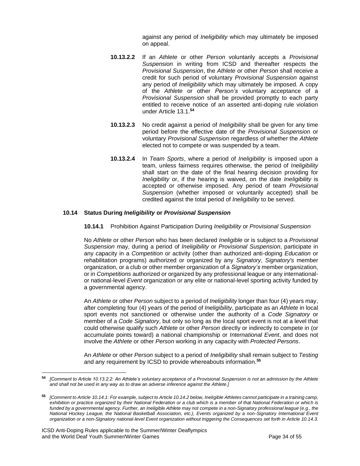against any period of *Ineligibility* which may ultimately be imposed on appeal.

- **10.13.2.2** If an *Athlete* or other *Person* voluntarily accepts a *Provisional Suspension* in writing from ICSD and thereafter respects the *Provisional Suspension*, the *Athlete* or other *Person* shall receive a credit for such period of voluntary *Provisional Suspension* against any period of *Ineligibility* which may ultimately be imposed. A copy of the *Athlete* or other *Person's* voluntary acceptance of a *Provisional Suspension* shall be provided promptly to each party entitled to receive notice of an asserted anti-doping rule violation under Article 13.1.**<sup>54</sup>**
- **10.13.2.3** No credit against a period of *Ineligibility* shall be given for any time period before the effective date of the *Provisional Suspension* or voluntary *Provisional Suspension* regardless of whether the *Athlete* elected not to compete or was suspended by a team.
- **10.13.2.4** In *Team Sports*, where a period of *Ineligibility* is imposed upon a team, unless fairness requires otherwise, the period of *Ineligibility* shall start on the date of the final hearing decision providing for *Ineligibility* or, if the hearing is waived, on the date *Ineligibility* is accepted or otherwise imposed. Any period of team *Provisional Suspension* (whether imposed or voluntarily accepted) shall be credited against the total period of *Ineligibility* to be served.

#### **10.14 Status During** *Ineligibility* **or** *Provisional Suspension*

#### **10.14.1** Prohibition Against Participation During *Ineligibility* or *Provisional Suspension*

No *Athlete* or other *Person* who has been declared *Ineligible* or is subject to a *Provisional Suspension* may, during a period of *Ineligibility* or *Provisional Suspension*, participate in any capacity in a *Competition* or activity (other than authorized anti-doping *Education* or rehabilitation programs) authorized or organized by any *Signatory*, *Signatory's* member organization, or a club or other member organization of a *Signatory's* member organization, or in *Competitions* authorized or organized by any professional league or any internationalor national-level *Event* organization or any elite or national-level sporting activity funded by a governmental agency.

An *Athlete* or other *Person* subject to a period of *Ineligibility* longer than four (4) years may, after completing four (4) years of the period of *Ineligibility*, participate as an *Athlete* in local sport events not sanctioned or otherwise under the authority of a *Code Signatory* or member of a *Code Signatory*, but only so long as the local sport event is not at a level that could otherwise qualify such *Athlete* or other *Person* directly or indirectly to compete in (or accumulate points toward) a national championship or *International Event*, and does not involve the *Athlete* or other *Person* working in any capacity with *Protected Persons*.

An *Athlete* or other *Person* subject to a period of *Ineligibility* shall remain subject to *Testing*  and any requirement by ICSD to provide whereabouts information. **55**

**<sup>54</sup>** *[Comment to Article 10.13.2.2: An Athlete's voluntary acceptance of a Provisional Suspension is not an admission by the Athlete and shall not be used in any way as to draw an adverse inference against the Athlete.]*

**<sup>55</sup>** *[Comment to Article 10.14.1: For example, subject to Article 10.14.2 below, Ineligible Athletes cannot participate in a training camp, exhibition or practice organized by their National Federation or a club which is a member of that National Federation or which is*  funded by a governmental agency. Further, an Ineligible Athlete may not compete in a non-Signatory professional league (e.g., the *National Hockey League, the National Basketball Association, etc.), Events organized by a non-Signatory International Event organization or a non-Signatory national-level Event organization without triggering the Consequences set forth in Article 10.14.3.*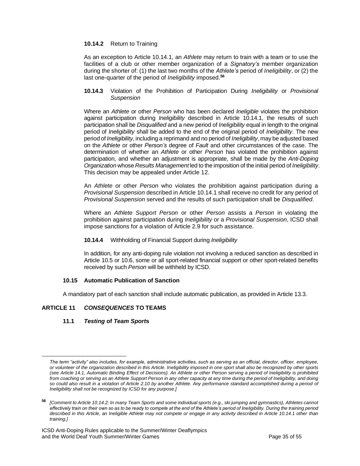#### **10.14.2** Return to Training

As an exception to Article 10.14.1, an *Athlete* may return to train with a team or to use the facilities of a club or other member organization of a *Signatory's* member organization during the shorter of: (1) the last two months of the *Athlete's* period of *Ineligibility*, or (2) the last one-quarter of the period of *Ineligibility* imposed.**<sup>56</sup>**

#### **10.14.3** Violation of the Prohibition of Participation During *Ineligibility* or *Provisional Suspension*

Where an *Athlete* or other *Person* who has been declared *Ineligible* violates the prohibition against participation during *Ineligibility* described in Article 10.14.1, the results of such participation shall be *Disqualified* and a new period of *Ineligibility* equal in length to the original period of *Ineligibility* shall be added to the end of the original period of *Ineligibility*. The new period of *Ineligibility*, including a reprimand and no period of *Ineligibility*, may be adjusted based on the *Athlete* or other *Person's* degree of *Fault* and other circumstances of the case. The determination of whether an *Athlete* or other *Person* has violated the prohibition against participation, and whether an adjustment is appropriate, shall be made by the *Anti-Doping Organization* whose *Results Management*led to the imposition of the initial period of *Ineligibility*. This decision may be appealed under Article 12.

An *Athlete* or other *Person* who violates the prohibition against participation during a *Provisional Suspension* described in Article 10.14.1 shall receive no credit for any period of *Provisional Suspension* served and the results of such participation shall be *Disqualified*.

Where an *Athlete Support Person* or other *Person* assists a *Person* in violating the prohibition against participation during *Ineligibility* or a *Provisional Suspension*, ICSD shall impose sanctions for a violation of Article 2.9 for such assistance.

## **10.14.4** Withholding of Financial Support during *Ineligibility*

In addition, for any anti-doping rule violation not involving a reduced sanction as described in Article 10.5 or 10.6, some or all sport-related financial support or other sport-related benefits received by such *Person* will be withheld by ICSD.

## **10.15 Automatic Publication of Sanction**

A mandatory part of each sanction shall include automatic publication, as provided in Article 13.3.

# <span id="page-34-0"></span>**ARTICLE 11** *CONSEQUENCES* **TO TEAMS**

## **11.1** *Testing* **of** *Team Sport***s**

*The term "activity" also includes, for example, administrative activities, such as serving as an official, director, officer, employee, or volunteer of the organization described in this Article. Ineligibility imposed in one sport shall also be recognized by other sports (see Article 14.1, Automatic Binding Effect of Decisions). An Athlete or other Person serving a period of Ineligibility is prohibited from coaching or serving as an Athlete Support Person in any other capacity at any time during the period of Ineligibility, and doing so could also result in a violation of Article 2.10 by another Athlete. Any performance standard accomplished during a period of Ineligibility shall not be recognized by ICSD for any purpose.]*

**<sup>56</sup>** *[Comment to Article 10.14.2: In many Team Sports and some individual sports (e.g., ski jumping and gymnastics), Athletes cannot effectively train on their own so as to be ready to compete at the end of the Athlete's period of Ineligibility. During the training period described in this Article, an Ineligible Athlete may not compete or engage in any activity described in Article 10.14.1 other than training.]*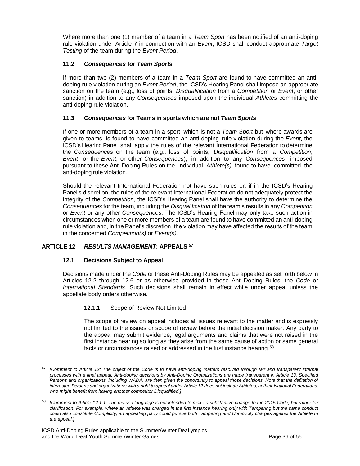Where more than one (1) member of a team in a *Team Sport* has been notified of an anti-doping rule violation under Article 7 in connection with an *Event*, ICSD shall conduct appropriate *Target Testing* of the team during the *Event Period*.

## **11.2** *Consequences* **for** *Team Sport***s**

If more than two (2) members of a team in a *Team Sport* are found to have committed an antidoping rule violation during an *Event Period*, the ICSD's Hearing Panel shall impose an appropriate sanction on the team (e.g., loss of points, *Disqualification* from a *Competition* or *Event*, or other sanction) in addition to any *Consequences* imposed upon the individual *Athletes* committing the anti-doping rule violation.

## **11.3** *Consequences* **for Teams in sports which are not** *Team Sports*

If one or more members of a team in a sport, which is not a *Team Sport* but where awards are given to teams, is found to have committed an anti-doping rule violation during the *Event*, the ICSD's Hearing Panel shall apply the rules of the relevant International Federation to determine the *Consequences* on the team (e.g., loss of points, *Disqualification* from a *Competition*, *Event* or the *Event*, or other *Consequences*), in addition to any *Consequences* imposed pursuant to these Anti-Doping Rules on the individual *Athlete(s)* found to have committed the anti-doping rule violation.

Should the relevant International Federation not have such rules or, if in the ICSD's Hearing Panel's discretion, the rules of the relevant International Federation do not adequately protect the integrity of the *Competition*, the ICSD's Hearing Panel shall have the authority to determine the *Consequences* for the team, including the *Disqualification* of the team's results in any *Competition* or *Event* or any other *Consequences*. The ICSD's Hearing Panel may only take such action in circumstances when one or more members of a team are found to have committed an anti-doping rule violation and, in the Panel's discretion, the violation may have affected the results of the team in the concerned *Competition(s)* or *Event(s)*.

## <span id="page-35-0"></span>**ARTICLE 12** *RESULTS MANAGEMENT***: APPEALS <sup>57</sup>**

## **12.1 Decisions Subject to Appeal**

Decisions made under the *Code* or these Anti-Doping Rules may be appealed as set forth below in Articles 12.2 through 12.6 or as otherwise provided in these Anti-Doping Rules, the *Code* or *International Standards*. Such decisions shall remain in effect while under appeal unless the appellate body orders otherwise.

#### **12.1.1** Scope of Review Not Limited

The scope of review on appeal includes all issues relevant to the matter and is expressly not limited to the issues or scope of review before the initial decision maker. Any party to the appeal may submit evidence, legal arguments and claims that were not raised in the first instance hearing so long as they arise from the same cause of action or same general facts or circumstances raised or addressed in the first instance hearing.**<sup>58</sup>**

**<sup>57</sup>** *[Comment to Article 12: The object of the Code is to have anti-doping matters resolved through fair and transparent internal processes with a final appeal. Anti-doping decisions by Anti-Doping Organizations are made transparent in Article 13. Specified Persons and organizations, including WADA, are then given the opportunity to appeal those decisions. Note that the definition of interested Persons and organizations with a right to appeal under Article 12 does not include Athletes, or their National Federations, who might benefit from having another competitor Disqualified.]*

**<sup>58</sup>** *[Comment to Article 12.1.1: The revised language is not intended to make a substantive change to the 2015 Code, but rather for clarification. For example, where an Athlete was charged in the first instance hearing only with Tampering but the same conduct could also constitute Complicity, an appealing party could pursue both Tampering and Complicity charges against the Athlete in the appeal.]*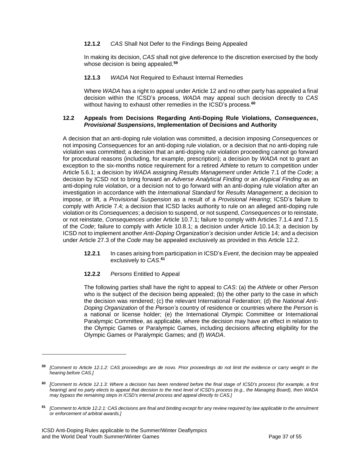## **12.1.2** *CAS* Shall Not Defer to the Findings Being Appealed

In making its decision, *CAS* shall not give deference to the discretion exercised by the body whose decision is being appealed.**<sup>59</sup>**

**12.1.3** *WADA* Not Required to Exhaust Internal Remedies

Where *WADA* has a right to appeal under Article 12 and no other party has appealed a final decision within the ICSD's process, *WADA* may appeal such decision directly to *CAS* without having to exhaust other remedies in the ICSD's process.**<sup>60</sup>**

#### **12.2 Appeals from Decisions Regarding Anti-Doping Rule Violations,** *Consequences***,**  *Provisional Suspensions***, Implementation of Decisions and Authority**

A decision that an anti-doping rule violation was committed, a decision imposing *Consequences* or not imposing *Consequences* for an anti-doping rule violation, or a decision that no anti-doping rule violation was committed; a decision that an anti-doping rule violation proceeding cannot go forward for procedural reasons (including, for example, prescription); a decision by *WADA* not to grant an exception to the six-months notice requirement for a retired *Athlete* to return to competition under Article 5.6.1; a decision by *WADA* assigning *Results Management* under Article 7.1 of the *Code*; a decision by ICSD not to bring forward an *Adverse Analytical Finding* or an *Atypical Finding* as an anti-doping rule violation, or a decision not to go forward with an anti-doping rule violation after an investigation in accordance with the *International Standard* for *Results Management*; a decision to impose, or lift, a *Provisional Suspension* as a result of a *Provisional Hearing*; ICSD's failure to comply with Article 7.4; a decision that ICSD lacks authority to rule on an alleged anti-doping rule violation or its *Consequences*; a decision to suspend, or not suspend, *Consequences* or to reinstate, or not reinstate, *Consequences* under Article 10.7.1; failure to comply with Articles 7.1.4 and 7.1.5 of the *Code*; failure to comply with Article 10.8.1; a decision under Article 10.14.3; a decision by ICSD not to implement another *Anti-Doping Organization's* decision under Article 14; and a decision under Article 27.3 of the *Code* may be appealed exclusively as provided in this Article 12.2.

- **12.2.1** In cases arising from participation in ICSD's *Event*, the decision may be appealed exclusively to *CAS*. **61**
- **12.2.2** *Persons* Entitled to Appeal

The following parties shall have the right to appeal to *CAS*: (a) the *Athlete* or other *Person* who is the subject of the decision being appealed; (b) the other party to the case in which the decision was rendered; (c) the relevant International Federation; (d) the *National Anti-Doping Organization* of the *Person's* country of residence or countries where the *Person* is a national or license holder; (e) the International Olympic Committee or International Paralympic Committee, as applicable, where the decision may have an effect in relation to the Olympic Games or Paralympic Games, including decisions affecting eligibility for the Olympic Games or Paralympic Games; and (f) *WADA*.

**<sup>59</sup>** *[Comment to Article 12.1.2: CAS proceedings are de novo. Prior proceedings do not limit the evidence or carry weight in the hearing before CAS.]*

**<sup>60</sup>** *[Comment to Article 12.1.3: Where a decision has been rendered before the final stage of ICSD's process (for example, a first hearing) and no party elects to appeal that decision to the next level of ICSD's process (e.g., the Managing Board), then WADA may bypass the remaining steps in ICSD's internal process and appeal directly to CAS.]*

**<sup>61</sup>** *[Comment to Article 12.2.1: CAS decisions are final and binding except for any review required by law applicable to the annulment or enforcement of arbitral awards.]*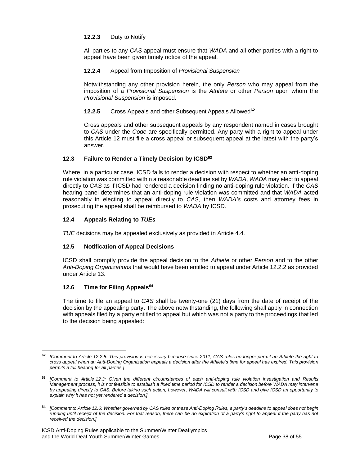## **12.2.3** Duty to Notify

All parties to any *CAS* appeal must ensure that *WADA* and all other parties with a right to appeal have been given timely notice of the appeal.

## **12.2.4** Appeal from Imposition of *Provisional Suspension*

Notwithstanding any other provision herein, the only *Person* who may appeal from the imposition of a *Provisional Suspension* is the *Athlete* or other *Person* upon whom the *Provisional Suspension* is imposed.

## **12.2.5** Cross Appeals and other Subsequent Appeals Allowed**<sup>62</sup>**

Cross appeals and other subsequent appeals by any respondent named in cases brought to *CAS* under the *Code* are specifically permitted. Any party with a right to appeal under this Article 12 must file a cross appeal or subsequent appeal at the latest with the party's answer.

## **12.3 Failure to Render a Timely Decision by ICSD<sup>63</sup>**

Where, in a particular case, ICSD fails to render a decision with respect to whether an anti-doping rule violation was committed within a reasonable deadline set by *WADA*, *WADA* may elect to appeal directly to *CAS* as if ICSD had rendered a decision finding no anti-doping rule violation. If the *CAS* hearing panel determines that an anti-doping rule violation was committed and that *WADA* acted reasonably in electing to appeal directly to *CAS*, then *WADA's* costs and attorney fees in prosecuting the appeal shall be reimbursed to *WADA* by ICSD.

## **12.4 Appeals Relating to** *TUEs*

*TUE* decisions may be appealed exclusively as provided in Article 4.4.

## **12.5 Notification of Appeal Decisions**

ICSD shall promptly provide the appeal decision to the *Athlete* or other *Person* and to the other *Anti-Doping Organizations* that would have been entitled to appeal under Article 12.2.2 as provided under Article 13.

#### **12.6 Time for Filing Appeals<sup>64</sup>**

The time to file an appeal to *CAS* shall be twenty-one (21) days from the date of receipt of the decision by the appealing party. The above notwithstanding, the following shall apply in connection with appeals filed by a party entitled to appeal but which was not a party to the proceedings that led to the decision being appealed:

**<sup>62</sup>** *[Comment to Article 12.2.5: This provision is necessary because since 2011, CAS rules no longer permit an Athlete the right to cross appeal when an Anti-Doping Organization appeals a decision after the Athlete's time for appeal has expired. This provision permits a full hearing for all parties.]*

**<sup>63</sup>** *[Comment to Article 12.3: Given the different circumstances of each anti-doping rule violation investigation and Results Management process, it is not feasible to establish a fixed time period for ICSD to render a decision before WADA may intervene by appealing directly to CAS. Before taking such action, however, WADA will consult with ICSD and give ICSD an opportunity to explain why it has not yet rendered a decision.]*

**<sup>64</sup>** *[Comment to Article 12.6: Whether governed by CAS rules or these Anti-Doping Rules, a party's deadline to appeal does not begin running until receipt of the decision. For that reason, there can be no expiration of a party's right to appeal if the party has not received the decision.]*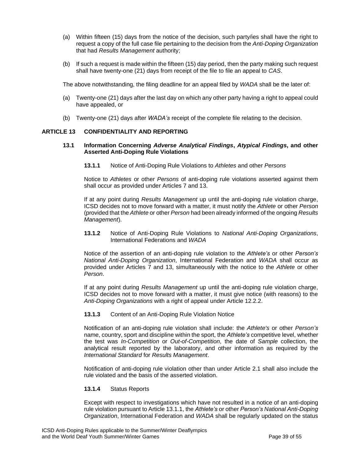- (a) Within fifteen (15) days from the notice of the decision, such party/ies shall have the right to request a copy of the full case file pertaining to the decision from the *Anti-Doping Organization* that had *Results Management* authority;
- (b) If such a request is made within the fifteen (15) day period, then the party making such request shall have twenty-one (21) days from receipt of the file to file an appeal to *CAS*.

The above notwithstanding, the filing deadline for an appeal filed by *WADA* shall be the later of:

- (a) Twenty-one (21) days after the last day on which any other party having a right to appeal could have appealed, or
- (b) Twenty-one (21) days after *WADA's* receipt of the complete file relating to the decision.

## <span id="page-38-0"></span>**ARTICLE 13 CONFIDENTIALITY AND REPORTING**

#### **13.1 Information Concerning** *Adverse Analytical Findings***,** *Atypical Findings***, and other Asserted Anti-Doping Rule Violations**

**13.1.1** Notice of Anti-Doping Rule Violations to *Athletes* and other *Persons*

Notice to *Athletes* or other *Persons* of anti-doping rule violations asserted against them shall occur as provided under Articles 7 and 13.

If at any point during *Results Management* up until the anti-doping rule violation charge, ICSD decides not to move forward with a matter, it must notify the *Athlete* or other *Person* (provided that the *Athlete* or other *Person* had been already informed of the ongoing *Results Management*).

**13.1.2** Notice of Anti-Doping Rule Violations to *National Anti-Doping Organizations*, International Federations and *WADA*

Notice of the assertion of an anti-doping rule violation to the *Athlete's* or other *Person's National Anti-Doping Organization*, International Federation and *WADA* shall occur as provided under Articles 7 and 13, simultaneously with the notice to the *Athlete* or other *Person*.

If at any point during *Results Management* up until the anti-doping rule violation charge, ICSD decides not to move forward with a matter, it must give notice (with reasons) to the *Anti-Doping Organizations* with a right of appeal under Article 12.2.2.

#### **13.1.3** Content of an Anti-Doping Rule Violation Notice

Notification of an anti-doping rule violation shall include: the *Athlete's* or other *Person's* name, country, sport and discipline within the sport, the *Athlete's* competitive level, whether the test was *In-Competition* or *Out-of-Competition*, the date of *Sample* collection, the analytical result reported by the laboratory, and other information as required by the *International Standard* for *Results Management*.

Notification of anti-doping rule violation other than under Article 2.1 shall also include the rule violated and the basis of the asserted violation.

## **13.1.4** Status Reports

Except with respect to investigations which have not resulted in a notice of an anti-doping rule violation pursuant to Article 13.1.1, the *Athlete's* or other *Person's National Anti-Doping Organization*, International Federation and *WADA* shall be regularly updated on the status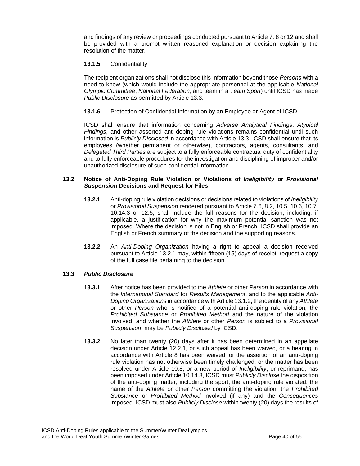and findings of any review or proceedings conducted pursuant to Article 7, 8 or 12 and shall be provided with a prompt written reasoned explanation or decision explaining the resolution of the matter.

## **13.1.5** Confidentiality

The recipient organizations shall not disclose this information beyond those *Persons* with a need to know (which would include the appropriate personnel at the applicable *National Olympic Committee*, *National Federation*, and team in a *Team Sport*) until ICSD has made *Public Disclosure* as permitted by Article 13.3.

## **13.1.6** Protection of Confidential Information by an Employee or Agent of ICSD

ICSD shall ensure that information concerning *Adverse Analytical Findings*, *Atypical Findings*, and other asserted anti-doping rule violations remains confidential until such information is *Publicly Disclosed* in accordance with Article 13.3. ICSD shall ensure that its employees (whether permanent or otherwise), contractors, agents, consultants, and *Delegated Third Parties* are subject to a fully enforceable contractual duty of confidentiality and to fully enforceable procedures for the investigation and disciplining of improper and/or unauthorized disclosure of such confidential information.

## **13.2 Notice of Anti-Doping Rule Violation or Violations of** *Ineligibility* **or** *Provisional Suspension* **Decisions and Request for Files**

- **13.2.1** Anti-doping rule violation decisions or decisions related to violations of *Ineligibility* or *Provisional Suspension* rendered pursuant to Article 7.6, 8.2, 10.5, 10.6, 10.7, 10.14.3 or 12.5, shall include the full reasons for the decision, including, if applicable, a justification for why the maximum potential sanction was not imposed. Where the decision is not in English or French, ICSD shall provide an English or French summary of the decision and the supporting reasons.
- **13.2.2** An *Anti-Doping Organization* having a right to appeal a decision received pursuant to Article 13.2.1 may, within fifteen (15) days of receipt, request a copy of the full case file pertaining to the decision.

## **13.3** *Public Disclosure*

- **13.3.1** After notice has been provided to the *Athlete* or other *Person* in accordance with the *International Standard* for *Results Management*, and to the applicable *Anti-Doping Organizations* in accordance with Article 13.1.2, the identity of any *Athlete* or other *Person* who is notified of a potential anti-doping rule violation, the *Prohibited Substance* or *Prohibited Method* and the nature of the violation involved, and whether the *Athlete* or other *Person* is subject to a *Provisional Suspension*, may be *Publicly Disclosed* by ICSD.
- **13.3.2** No later than twenty (20) days after it has been determined in an appellate decision under Article 12.2.1, or such appeal has been waived, or a hearing in accordance with Article 8 has been waived, or the assertion of an anti-doping rule violation has not otherwise been timely challenged, or the matter has been resolved under Article 10.8, or a new period of *Ineligibility*, or reprimand, has been imposed under Article 10.14.3, ICSD must *Publicly Disclose* the disposition of the anti-doping matter, including the sport, the anti-doping rule violated, the name of the *Athlete* or other *Person* committing the violation, the *Prohibited Substance* or *Prohibited Method* involved (if any) and the *Consequences* imposed. ICSD must also *Publicly Disclose* within twenty (20) days the results of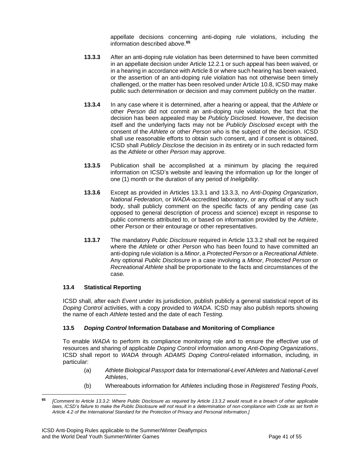appellate decisions concerning anti-doping rule violations, including the information described above.**<sup>65</sup>**

- **13.3.3** After an anti-doping rule violation has been determined to have been committed in an appellate decision under Article 12.2.1 or such appeal has been waived, or in a hearing in accordance with Article 8 or where such hearing has been waived, or the assertion of an anti-doping rule violation has not otherwise been timely challenged, or the matter has been resolved under Article 10.8, ICSD may make public such determination or decision and may comment publicly on the matter.
- **13.3.4** In any case where it is determined, after a hearing or appeal, that the *Athlete* or other *Person* did not commit an anti-doping rule violation, the fact that the decision has been appealed may be *Publicly Disclosed*. However, the decision itself and the underlying facts may not be *Publicly Disclosed* except with the consent of the *Athlete* or other *Person* who is the subject of the decision. ICSD shall use reasonable efforts to obtain such consent, and if consent is obtained, ICSD shall *Publicly Disclose* the decision in its entirety or in such redacted form as the *Athlete* or other *Person* may approve.
- **13.3.5** Publication shall be accomplished at a minimum by placing the required information on ICSD's website and leaving the information up for the longer of one (1) month or the duration of any period of *Ineligibility*.
- **13.3.6** Except as provided in Articles 13.3.1 and 13.3.3, no *Anti-Doping Organization*, *National Federation*, or *WADA-*accredited laboratory, or any official of any such body, shall publicly comment on the specific facts of any pending case (as opposed to general description of process and science) except in response to public comments attributed to, or based on information provided by the *Athlete*, other *Person* or their entourage or other representatives.
- **13.3.7** The mandatory *Public Disclosure* required in Article 13.3.2 shall not be required where the *Athlete* or other *Person* who has been found to have committed an anti-doping rule violation is a *Minor*,a *Protected Person* or a *Recreational Athlete*. Any optional *Public Disclosure* in a case involving a *Minor*, *Protected Person* or *Recreational Athlete* shall be proportionate to the facts and circumstances of the case.

## **13.4 Statistical Reporting**

ICSD shall, after each *Event* under its jurisdiction, publish publicly a general statistical report of its *Doping Control* activities, with a copy provided to *WADA*. ICSD may also publish reports showing the name of each *Athlete* tested and the date of each *Testing*.

## **13.5** *Doping Control* **Information Database and Monitoring of Compliance**

To enable *WADA* to perform its compliance monitoring role and to ensure the effective use of resources and sharing of applicable *Doping Control* information among *Anti-Doping Organizations*, ICSD shall report to *WADA* through *ADAMS Doping Control*-related information, including, in particular:

- (a) *Athlete Biological Passport* data for *International-Level Athletes* and *National-Level Athletes*,
- (b) Whereabouts information for *Athletes* including those in *Registered Testing Pools*,

**<sup>65</sup>** *[Comment to Article 13.3.2: Where Public Disclosure as required by Article 13.3.2 would result in a breach of other applicable*  laws, ICSD's failure to make the Public Disclosure will not result in a determination of non-compliance with Code as set forth in *Article 4.2 of the International Standard for the Protection of Privacy and Personal Information.]*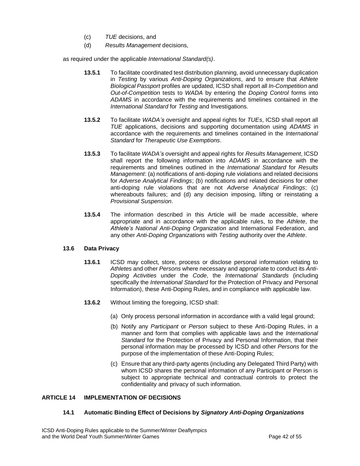- (c) *TUE* decisions, and
- (d) *Results Management* decisions,

as required under the applicable *International Standard(s)*.

- **13.5.1** To facilitate coordinated test distribution planning, avoid unnecessary duplication in *Testing* by various *Anti-Doping Organizations*, and to ensure that *Athlete Biological Passport* profiles are updated, ICSD shall report all *In-Competition* and *Out-of-Competition* tests to *WADA* by entering the *Doping Control* forms into *ADAMS* in accordance with the requirements and timelines contained in the *International Standard* for *Testing* and Investigations.
- **13.5.2** To facilitate *WADA's* oversight and appeal rights for *TUEs*, ICSD shall report all *TUE* applications, decisions and supporting documentation using *ADAMS* in accordance with the requirements and timelines contained in the *International Standard* for *Therapeutic Use Exemptions*.
- **13.5.3** To facilitate *WADA's* oversight and appeal rights for *Results Management*, ICSD shall report the following information into *ADAMS* in accordance with the requirements and timelines outlined in the *International Standard* for *Results Management*: (a) notifications of anti-doping rule violations and related decisions for *Adverse Analytical Findings*; (b) notifications and related decisions for other anti-doping rule violations that are not *Adverse Analytical Findings*; (c) whereabouts failures; and (d) any decision imposing, lifting or reinstating a *Provisional Suspension*.
- **13.5.4** The information described in this Article will be made accessible, where appropriate and in accordance with the applicable rules, to the *Athlete*, the *Athlete's National Anti-Doping Organization* and International Federation, and any other *Anti-Doping Organizations* with *Testing* authority over the *Athlete*.

## **13.6 Data Privacy**

- **13.6.1** ICSD may collect, store, process or disclose personal information relating to *Athletes* and other *Persons* where necessary and appropriate to conduct its *Anti-Doping Activities* under the *Code*, the *International Standards* (including specifically the *International Standard* for the Protection of Privacy and Personal Information), these Anti-Doping Rules, and in compliance with applicable law.
- **13.6.2** Without limiting the foregoing, ICSD shall:
	- (a) Only process personal information in accordance with a valid legal ground;
	- (b) Notify any *Participant* or *Person* subject to these Anti-Doping Rules, in a manner and form that complies with applicable laws and the *International Standard* for the Protection of Privacy and Personal Information, that their personal information may be processed by ICSD and other *Persons* for the purpose of the implementation of these Anti-Doping Rules;
	- (c) Ensure that any third-party agents (including any Delegated Third Party) with whom ICSD shares the personal information of any Participant or Person is subject to appropriate technical and contractual controls to protect the confidentiality and privacy of such information.

## <span id="page-41-0"></span>**ARTICLE 14 IMPLEMENTATION OF DECISIONS**

## **14.1 Automatic Binding Effect of Decisions by** *Signatory Anti-Doping Organizations*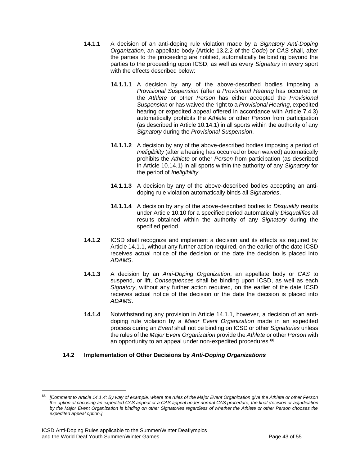- **14.1.1** A decision of an anti-doping rule violation made by a *Signatory Anti-Doping Organization*, an appellate body (Article 13.2.2 of the *Code*) or *CAS* shall, after the parties to the proceeding are notified, automatically be binding beyond the parties to the proceeding upon ICSD, as well as every *Signatory* in every sport with the effects described below:
	- **14.1.1.1** A decision by any of the above-described bodies imposing a *Provisional Suspension* (after a *Provisional Hearing* has occurred or the *Athlete* or other *Person* has either accepted the *Provisional Suspension* or has waived the right to a *Provisional Hearing*, expedited hearing or expedited appeal offered in accordance with Article 7.4.3) automatically prohibits the *Athlete* or other *Person* from participation (as described in Article 10.14.1) in all sports within the authority of any *Signatory* during the *Provisional Suspension*.
	- **14.1.1.2** A decision by any of the above-described bodies imposing a period of *Ineligibility* (after a hearing has occurred or been waived) automatically prohibits the *Athlete* or other *Person* from participation (as described in Article 10.14.1) in all sports within the authority of any *Signatory* for the period of *Ineligibility*.
	- **14.1.1.3** A decision by any of the above-described bodies accepting an antidoping rule violation automatically binds all *Signatories*.
	- **14.1.1.4** A decision by any of the above-described bodies to *Disqualify* results under Article 10.10 for a specified period automatically *Disqualifies* all results obtained within the authority of any *Signatory* during the specified period.
- **14.1.2** ICSD shall recognize and implement a decision and its effects as required by Article 14.1.1, without any further action required, on the earlier of the date ICSD receives actual notice of the decision or the date the decision is placed into *ADAMS*.
- **14.1.3** A decision by an *Anti-Doping Organization*, an appellate body or *CAS* to suspend, or lift, *Consequences* shall be binding upon ICSD, as well as each *Signatory*, without any further action required, on the earlier of the date ICSD receives actual notice of the decision or the date the decision is placed into *ADAMS*.
- **14.1.4** Notwithstanding any provision in Article 14.1.1, however, a decision of an antidoping rule violation by a *Major Event Organization* made in an expedited process during an *Event* shall not be binding on ICSD or other *Signatories* unless the rules of the *Major Event Organization* provide the *Athlete* or other *Person* with an opportunity to an appeal under non-expedited procedures.**<sup>66</sup>**

# **14.2 Implementation of Other Decisions by** *Anti-Doping Organizations*

**<sup>66</sup>** *[Comment to Article 14.1.4: By way of example, where the rules of the Major Event Organization give the Athlete or other Person the option of choosing an expedited CAS appeal or a CAS appeal under normal CAS procedure, the final decision or adjudication by the Major Event Organization is binding on other Signatories regardless of whether the Athlete or other Person chooses the expedited appeal option.]*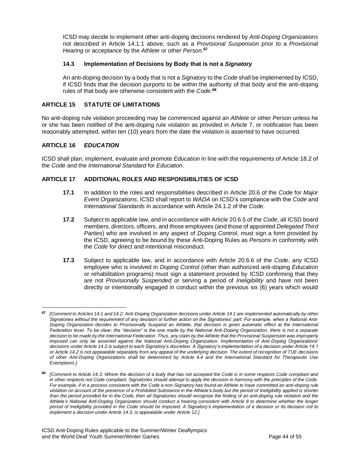ICSD may decide to implement other anti-doping decisions rendered by *Anti-Doping Organizations* not described in Article 14.1.1 above, such as a *Provisional Suspension* prior to a *Provisional Hearing* or acceptance by the *Athlete* or other *Person*. **67**

## **14.3 Implementation of Decisions by Body that is not a** *Signatory*

An anti-doping decision by a body that is not a *Signatory* to the *Code* shall be implemented by ICSD, if ICSD finds that the decision purports to be within the authority of that body and the anti-doping rules of that body are otherwise consistent with the *Code*. **68**

## <span id="page-43-0"></span>**ARTICLE 15 STATUTE OF LIMITATIONS**

No anti-doping rule violation proceeding may be commenced against an *Athlete* or other *Person* unless he or she has been notified of the anti-doping rule violation as provided in Article 7, or notification has been reasonably attempted, within ten (10) years from the date the violation is asserted to have occurred.

## <span id="page-43-1"></span>**ARTICLE 16** *EDUCATION*

ICSD shall plan, implement, evaluate and promote *Education* in line with the requirements of Article 18.2 of the *Code* and the *International Standard* for *Education*.

## <span id="page-43-2"></span>**ARTICLE 17 ADDITIONAL ROLES AND RESPONSIBILITIES OF ICSD**

- **17.1** In addition to the roles and responsibilities described in Article 20.6 of the *Code* for *Major Event Organizations*, ICSD shall report to *WADA* on ICSD's compliance with the *Code* and *International Standards* in accordance with Article 24.1.2 of the *Code*.
- **17.2** Subject to applicable law, and in accordance with Article 20.6.5 of the *Code*, all ICSD board members, directors, officers, and those employees (andthose of appointed *Delegated Third Parties*) who are involved in any aspect of *Doping Control*, must sign a form provided by the ICSD, agreeing to be bound by these Anti-Doping Rules as *Persons* in conformity with the *Code* for direct and intentional misconduct.
- **17.3** Subject to applicable law, and in accordance with Article 20.6.6 of the *Code*, any ICSD employee who is involved in *Doping Control* (other than authorized anti-doping *Education*  or rehabilitation programs) must sign a statement provided by ICSD confirming that they are not *Provisionally Suspended* or serving a period of *Ineligibility* and have not been directly or intentionally engaged in conduct within the previous six (6) years which would

**<sup>67</sup>** *[Comment to Articles 14.1 and 14.2: Anti-Doping Organization decisions under Article 14.1 are implemented automatically by other Signatories without the requirement of any decision or further action on the Signatories' part. For example, when a National Anti-Doping Organization decides to Provisionally Suspend an Athlete, that decision is given automatic effect at the International Federation level. To be clear, the "decision" is the one made by the National Anti-Doping Organization, there is not a separate decision to be made by the International Federation. Thus, any claim by the Athlete that the Provisional Suspension was improperly imposed can only be asserted against the National Anti-Doping Organization. Implementation of Anti-Doping Organizations' decisions under Article 14.2 is subject to each Signatory's discretion. A Signatory's implementation of a decision under Article 14.1 or Article 14.2 is not appealable separately from any appeal of the underlying decision. The extent of recognition of TUE decisions of other Anti-Doping Organizations shall be determined by Article 4.4 and the International Standard for Therapeutic Use Exemptions.]*

**<sup>68</sup>** *[Comment to Article 14.3: Where the decision of a body that has not accepted the Code is in some respects Code compliant and in other respects not Code compliant, Signatories should attempt to apply the decision in harmony with the principles of the Code. For example, if in a process consistent with the Code a non-Signatory has found an Athlete to have committed an anti-doping rule violation on account of the presence of a Prohibited Substance in the Athlete's body but the period of Ineligibility applied is shorter than the period provided for in the Code, then all Signatories should recognize the finding of an anti-doping rule violation and the Athlete's National Anti-Doping Organization should conduct a hearing consistent with Article 8 to determine whether the longer period of Ineligibility provided in the Code should be imposed. A Signatory's implementation of a decision or its decision not to implement a decision under Article 14.3, is appealable under Article 12.]*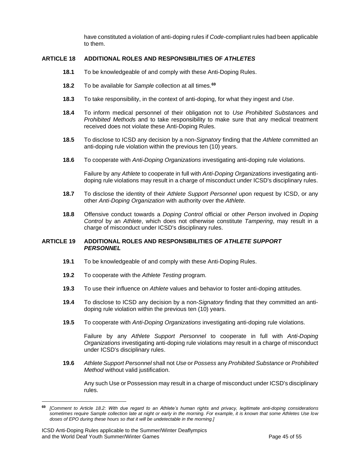have constituted a violation of anti-doping rules if *Code*-compliant rules had been applicable to them.

## <span id="page-44-0"></span>**ARTICLE 18 ADDITIONAL ROLES AND RESPONSIBILITIES OF** *ATHLETES*

- **18.1** To be knowledgeable of and comply with these Anti-Doping Rules.
- **18.2** To be available for *Sample* collection at all times.**<sup>69</sup>**
- **18.3** To take responsibility, in the context of anti-doping, for what they ingest and *Use*.
- **18.4** To inform medical personnel of their obligation not to *Use Prohibited Substance*s and *Prohibited Method*s and to take responsibility to make sure that any medical treatment received does not violate these Anti-Doping Rules.
- **18.5** To disclose to ICSD any decision by a non-*Signatory* finding that the *Athlete* committed an anti-doping rule violation within the previous ten (10) years.
- **18.6** To cooperate with *Anti-Doping Organizations* investigating anti-doping rule violations.

Failure by any *Athlete* to cooperate in full with *Anti-Doping Organizations* investigating antidoping rule violations may result in a charge of misconduct under ICSD's disciplinary rules.

- **18.7** To disclose the identity of their *Athlete Support Personnel* upon request by ICSD, or any other *Anti-Doping Organization* with authority over the *Athlete*.
- **18.8** Offensive conduct towards a *Doping Control* official or other *Person* involved in *Doping Control* by an *Athlete*, which does not otherwise constitute *Tampering*, may result in a charge of misconduct under ICSD's disciplinary rules.

#### <span id="page-44-1"></span>**ARTICLE 19 ADDITIONAL ROLES AND RESPONSIBILITIES OF** *ATHLETE SUPPORT PERSONNEL*

- **19.1** To be knowledgeable of and comply with these Anti-Doping Rules.
- **19.2** To cooperate with the *Athlete Testing* program.
- **19.3** To use their influence on *Athlete* values and behavior to foster anti-doping attitudes.
- **19.4** To disclose to ICSD any decision by a non-*Signatory* finding that they committed an antidoping rule violation within the previous ten (10) years.
- **19.5** To cooperate with *Anti-Doping Organizations* investigating anti-doping rule violations.

Failure by any *Athlete Support Personnel* to cooperate in full with *Anti-Doping Organizations* investigating anti-doping rule violations may result in a charge of misconduct under ICSD's disciplinary rules.

**19.6** *Athlete Support Personnel* shall not *Use*or *Possess*any *Prohibited Substance* or *Prohibited Method* without valid justification.

Any such Use or Possession may result in a charge of misconduct under ICSD's disciplinary rules.

**<sup>69</sup>** *[Comment to Article 18.2: With due regard to an Athlete's human rights and privacy, legitimate anti-doping considerations sometimes require Sample collection late at night or early in the morning. For example, it is known that some Athletes Use low doses of EPO during these hours so that it will be undetectable in the morning.]*

ICSD Anti-Doping Rules applicable to the Summer/Winter Deaflympics and the World Deaf Youth Summer/Winter Games Page 45 of 55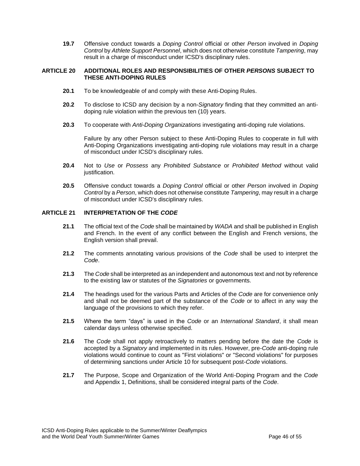**19.7** Offensive conduct towards a *Doping Control* official or other *Person* involved in *Doping Control* by *Athlete Support Personnel*, which does not otherwise constitute *Tampering*, may result in a charge of misconduct under ICSD's disciplinary rules.

#### <span id="page-45-0"></span>**ARTICLE 20 ADDITIONAL ROLES AND RESPONSIBILITIES OF OTHER** *PERSONS* **SUBJECT TO THESE ANTI-DOPING RULES**

- **20.1** To be knowledgeable of and comply with these Anti-Doping Rules.
- **20.2** To disclose to ICSD any decision by a non-*Signatory* finding that they committed an antidoping rule violation within the previous ten (10) years.
- **20.3** To cooperate with *Anti-Doping Organizations* investigating anti-doping rule violations.

Failure by any other Person subject to these Anti-Doping Rules to cooperate in full with Anti-Doping Organizations investigating anti-doping rule violations may result in a charge of misconduct under ICSD's disciplinary rules.

- **20.4** Not to *Use* or *Possess* any *Prohibited Substance* or *Prohibited Method* without valid justification.
- **20.5** Offensive conduct towards a *Doping Control* official or other *Person* involved in *Doping Control* by a *Person*, which does not otherwise constitute *Tampering*, may result in a charge of misconduct under ICSD's disciplinary rules.

#### <span id="page-45-1"></span>**ARTICLE 21 INTERPRETATION OF THE** *CODE*

- **21.1** The official text of the *Code* shall be maintained by *WADA* and shall be published in English and French. In the event of any conflict between the English and French versions, the English version shall prevail.
- **21.2** The comments annotating various provisions of the *Code* shall be used to interpret the *Code*.
- **21.3** The *Code*shall be interpreted as an independent and autonomous text and not by reference to the existing law or statutes of the *Signatories* or governments.
- **21.4** The headings used for the various Parts and Articles of the *Code* are for convenience only and shall not be deemed part of the substance of the *Code* or to affect in any way the language of the provisions to which they refer.
- **21.5** Where the term "days" is used in the *Code* or an *International Standard*, it shall mean calendar days unless otherwise specified.
- **21.6** The *Code* shall not apply retroactively to matters pending before the date the *Code* is accepted by a *Signatory* and implemented in its rules. However, pre-*Code* anti-doping rule violations would continue to count as "First violations" or "Second violations" for purposes of determining sanctions under Article 10 for subsequent post-*Code* violations.
- **21.7** The Purpose, Scope and Organization of the World Anti-Doping Program and the *Code*  and Appendix 1, Definitions, shall be considered integral parts of the *Code*.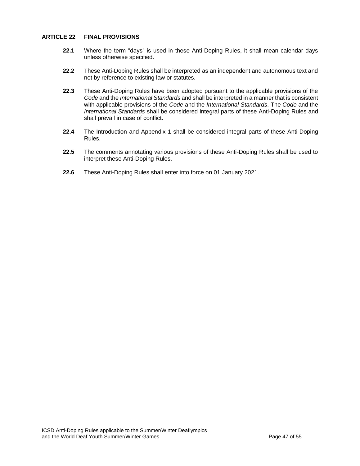## <span id="page-46-0"></span>**ARTICLE 22 FINAL PROVISIONS**

- **22.1** Where the term "days" is used in these Anti-Doping Rules, it shall mean calendar days unless otherwise specified.
- **22.2** These Anti-Doping Rules shall be interpreted as an independent and autonomous text and not by reference to existing law or statutes.
- **22.3** These Anti-Doping Rules have been adopted pursuant to the applicable provisions of the *Code* and the *International Standards* and shall be interpreted in a manner that is consistent with applicable provisions of the *Code* and the *International Standards*. The *Code* and the *International Standards* shall be considered integral parts of these Anti-Doping Rules and shall prevail in case of conflict.
- **22.4** The Introduction and Appendix 1 shall be considered integral parts of these Anti-Doping Rules.
- **22.5** The comments annotating various provisions of these Anti-Doping Rules shall be used to interpret these Anti-Doping Rules.
- **22.6** These Anti-Doping Rules shall enter into force on 01 January 2021.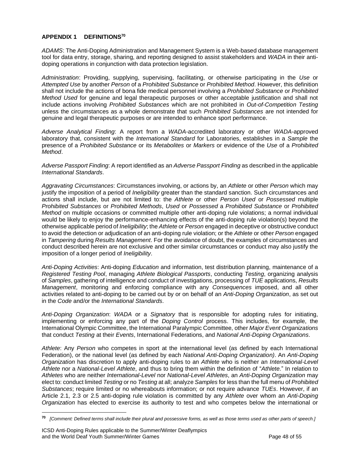## <span id="page-47-0"></span>**APPENDIX 1 DEFINITIONS<sup>70</sup>**

*ADAMS*: The Anti-Doping Administration and Management System is a Web-based database management tool for data entry, storage, sharing, and reporting designed to assist stakeholders and *WADA* in their antidoping operations in conjunction with data protection legislation.

*Administration*: Providing, supplying, supervising, facilitating, or otherwise participating in the *Use* or *Attempted Use* by another *Person* of a *Prohibited Substance* or *Prohibited Method*. However, this definition shall not include the actions of bona fide medical personnel involving a *Prohibited Substance* or *Prohibited Method Used* for genuine and legal therapeutic purposes or other acceptable justification and shall not include actions involving *Prohibited Substances* which are not prohibited in *Out-of-Competition Testing*  unless the circumstances as a whole demonstrate that such *Prohibited Substances* are not intended for genuine and legal therapeutic purposes or are intended to enhance sport performance.

*Adverse Analytical Finding*: A report from a *WADA*-accredited laboratory or other *WADA*-approved laboratory that, consistent with the *International Standard* for Laboratories, establishes in a *Sample* the presence of a *Prohibited Substance* or its *Metabolites* or *Markers* or evidence of the *Use* of a *Prohibited Method*.

*Adverse Passport Finding*: A report identified as an *Adverse Passport Finding* as described in the applicable *International Standards*.

*Aggravating Circumstances*: Circumstances involving, or actions by, an *Athlete* or other *Person* which may justify the imposition of a period of *Ineligibility* greater than the standard sanction. Such circumstances and actions shall include, but are not limited to: the *Athlete* or other *Person Used* or *Possessed* multiple *Prohibited Substances* or *Prohibited Methods*, *Used* or *Possessed* a *Prohibited Substance* or *Prohibited Method* on multiple occasions or committed multiple other anti-doping rule violations; a normal individual would be likely to enjoy the performance-enhancing effects of the anti-doping rule violation(s) beyond the otherwise applicable period of *Ineligibility*; the *Athlete* or *Person* engaged in deceptive or obstructive conduct to avoid the detection or adjudication of an anti-doping rule violation; or the *Athlete* or other *Person* engaged in *Tampering* during *Results Management*. For the avoidance of doubt, the examples of circumstances and conduct described herein are not exclusive and other similar circumstances or conduct may also justify the imposition of a longer period of *Ineligibility*.

*Anti-Doping Activities*: Anti-doping *Education* and information, test distribution planning, maintenance of a *Registered Testing Pool*, managing *Athlete Biological Passports*, conducting *Testing*, organizing analysis of *Samples*, gathering of intelligence and conduct of investigations, processing of *TUE* applications, *Results Management*, monitoring and enforcing compliance with any *Consequences* imposed, and all other activities related to anti-doping to be carried out by or on behalf of an *Anti-Doping Organization*, as set out in the *Code* and/or the *International Standards*.

*Anti-Doping Organization*: *WADA* or a *Signatory* that is responsible for adopting rules for initiating, implementing or enforcing any part of the *Doping Control* process. This includes, for example, the International Olympic Committee, the International Paralympic Committee, other *Major Event Organizations* that conduct *Testing* at their *Events*, International Federations, and *National Anti-Doping Organizations*.

*Athlete*: Any *Person* who competes in sport at the international level (as defined by each International Federation), or the national level (as defined by each *National Anti-Doping Organization)*. An *Anti-Doping Organization* has discretion to apply anti-doping rules to an *Athlete* who is neither an *International-Level Athlete* nor a *National-Level Athlete*, and thus to bring them within the definition of "*Athlete.*" In relation to *Athletes* who are neither *International-Level* nor *National-Level Athletes*, an *Anti-Doping Organization* may elect to: conduct limited *Testing* or no *Testing* at all; analyze *Samples* for less than the full menu of *Prohibited Substances*; require limited or no whereabouts information; or not require advance *TUEs*. However, if an Article 2.1, 2.3 or 2.5 anti-doping rule violation is committed by any *Athlete* over whom an *Anti-Doping Organization* has elected to exercise its authority to test and who competes below the international or

**<sup>70</sup>** *[Comment: Defined terms shall include their plural and possessive forms, as well as those terms used as other parts of speech.]*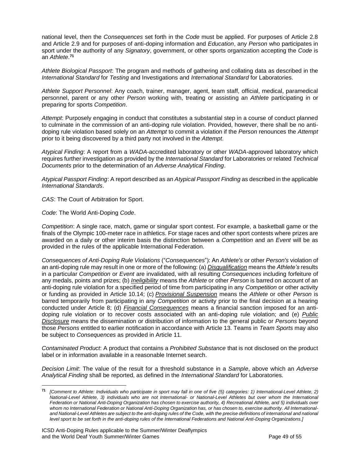national level, then the *Consequences* set forth in the *Code* must be applied. For purposes of Article 2.8 and Article 2.9 and for purposes of anti-doping information and *Education*, any *Person* who participates in sport under the authority of any *Signatory*, government, or other sports organization accepting the *Code* is an *Athlete*. **71**

*Athlete Biological Passport*: The program and methods of gathering and collating data as described in the *International Standard* for *Testing* and Investigations and *International Standard* for Laboratories.

*Athlete Support Personnel*: Any coach, trainer, manager, agent, team staff, official, medical, paramedical personnel, parent or any other *Person* working with, treating or assisting an *Athlete* participating in or preparing for sports *Competition*.

*Attempt*: Purposely engaging in conduct that constitutes a substantial step in a course of conduct planned to culminate in the commission of an anti-doping rule violation. Provided, however, there shall be no antidoping rule violation based solely on an *Attempt* to commit a violation if the *Person* renounces the *Attempt* prior to it being discovered by a third party not involved in the *Attempt*.

*Atypical Finding*: A report from a *WADA*-accredited laboratory or other *WADA*-approved laboratory which requires further investigation as provided by the *International Standard* for Laboratories or related *Technical Documents* prior to the determination of an *Adverse Analytical Finding*.

*Atypical Passport Finding*: A report described as an *Atypical Passport Finding* as described in the applicable *International Standards*.

*CAS*: The Court of Arbitration for Sport.

*Code*: The World Anti-Doping *Code*.

*Competition*: A single race, match, game or singular sport contest. For example, a basketball game or the finals of the Olympic 100-meter race in athletics. For stage races and other sport contests where prizes are awarded on a daily or other interim basis the distinction between a *Competition* and an *Event* will be as provided in the rules of the applicable International Federation.

*Consequences of Anti-Doping Rule Violations* ("*Consequences*"): An *Athlete's* or other *Person's* violation of an anti-doping rule may result in one or more of the following: (a) *Disqualification* means the *Athlete's* results in a particular *Competition* or *Event* are invalidated, with all resulting *Consequences* including forfeiture of any medals, points and prizes; (b) *Ineligibility* means the *Athlete* or other *Person* is barred on account of an anti-doping rule violation for a specified period of time from participating in any *Competition* or other activity or funding as provided in Article 10.14; (c) *Provisional Suspension* means the *Athlete* or other *Person* is barred temporarily from participating in any *Competition* or activity prior to the final decision at a hearing conducted under Article 8; (d) *Financial Consequences* means a financial sanction imposed for an antidoping rule violation or to recover costs associated with an anti-doping rule violation; and (e) *Public Disclosure* means the dissemination or distribution of information to the general public or *Persons* beyond those *Persons* entitled to earlier notification in accordance with Article 13. Teams in *Team Sports* may also be subject to *Consequences* as provided in Article 11.

*Contaminated Product*: A product that contains a *Prohibited Substance* that is not disclosed on the product label or in information available in a reasonable Internet search.

*Decision Limit*: The value of the result for a threshold substance in a *Sample*, above which an *Adverse Analytical Finding* shall be reported, as defined in the *International Standard* for Laboratories.

**<sup>71</sup>** *[Comment to Athlete: Individuals who participate in sport may fall in one of five (5) categories: 1) International-Level Athlete, 2) National-Level Athlete, 3) individuals who are not International- or National-Level Athletes but over whom the International Federation or National Anti-Doping Organization has chosen to exercise authority, 4) Recreational Athlete, and 5) individuals over whom no International Federation or National Anti-Doping Organization has, or has chosen to, exercise authority. All Internationaland National-Level Athletes are subject to the anti-doping rules of the Code, with the precise definitions of international and national level sport to be set forth in the anti-doping rules of the International Federations and National Anti-Doping Organizations.]*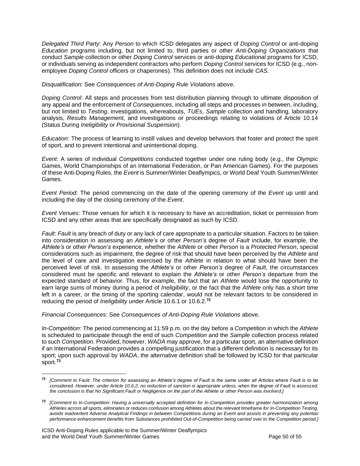*Delegated Third Party*: Any *Person* to which ICSD delegates any aspect of *Doping Control* or anti-doping *Education* programs including, but not limited to, third parties or other *Anti-Doping Organizations* that conduct *Sample* collection or other *Doping Control* services or anti-doping *Educational* programs for ICSD, or individuals serving as independent contractors who perform *Doping Control* services for ICSD (e.g., nonemployee *Doping Control* officers or chaperones). This definition does not include *CAS*.

*Disqualification*: See *Consequences of Anti-Doping Rule Violations* above.

*Doping Control*: All steps and processes from test distribution planning through to ultimate disposition of any appeal and the enforcement of *Consequences*, including all steps and processes in between, including, but not limited to *Testing*, investigations, whereabouts, *TUEs*, *Sample* collection and handling, laboratory analysis, *Results Management*, and investigations or proceedings relating to violations of Article 10.14 (Status During *Ineligibility* or *Provisional Suspension*).

*Education*: The process of learning to instill values and develop behaviors that foster and protect the spirit of sport, and to prevent intentional and unintentional doping.

*Event*: A series of individual *Competitions* conducted together under one ruling body (e.g., the Olympic Games, World Championships of an International Federation, or Pan American Games). For the purposes of these Anti-Doping Rules, the *Event* is Summer/Winter Deaflympics, or World Deaf Youth Summer/Winter Games.

*Event Period*: The period commencing on the date of the opening ceremony of the *Event* up until and including the day of the closing ceremony of the *Event*.

*Event Venues*: Those venues for which it is necessary to have an accreditation, ticket or permission from ICSD and any other areas that are specifically designated as such by ICSD.

*Fault*: *Fault* is any breach of duty or any lack of care appropriate to a particular situation. Factors to be taken into consideration in assessing an *Athlete's* or other *Person's* degree of *Fault* include, for example, the *Athlete's* or other *Person's* experience, whether the *Athlete* or other *Person* is a *Protected Person*, special considerations such as impairment, the degree of risk that should have been perceived by the *Athlete* and the level of care and investigation exercised by the *Athlete* in relation to what should have been the perceived level of risk. In assessing the *Athlete's* or other *Person's* degree of *Fault*, the circumstances considered must be specific and relevant to explain the *Athlete's* or other *Person's* departure from the expected standard of behavior. Thus, for example, the fact that an *Athlete* would lose the opportunity to earn large sums of money during a period of *Ineligibility*, or the fact that the *Athlete* only has a short time left in a career, or the timing of the sporting calendar, would not be relevant factors to be considered in reducing the period of *Ineligibility* under Article 10.6.1 or 10.6.2.**<sup>72</sup>**

*Financial Consequences*: See *Consequences of Anti-Doping Rule Violations* above.

*In-Competition*: The period commencing at 11:59 p.m. on the day before a *Competition* in which the *Athlete* is scheduled to participate through the end of such *Competition* and the *Sample* collection process related to such *Competition*. Provided, however, *WADA* may approve, for a particular sport, an alternative definition if an International Federation provides a compelling justification that a different definition is necessary for its sport; upon such approval by *WADA*, the alternative definition shall be followed by ICSD for that particular sport.**<sup>73</sup>**

**<sup>72</sup>** *[Comment to Fault: The criterion for assessing an Athlete's degree of Fault is the same under all Articles where Fault is to be considered. However, under Article 10.6.2, no reduction of sanction is appropriate unless, when the degree of Fault is assessed, the conclusion is that No Significant Fault or Negligence on the part of the Athlete or other Person was involved.]*

**<sup>73</sup>** *[Comment to In-Competition: Having a universally accepted definition for In-Competition provides greater harmonization among Athletes across all sports, eliminates or reduces confusion among Athletes about the relevant timeframe for In-Competition Testing, avoids inadvertent Adverse Analytical Findings in between Competitions during an Event and assists in preventing any potential performance enhancement benefits from Substances prohibited Out-of-Competition being carried over to the Competition period.]*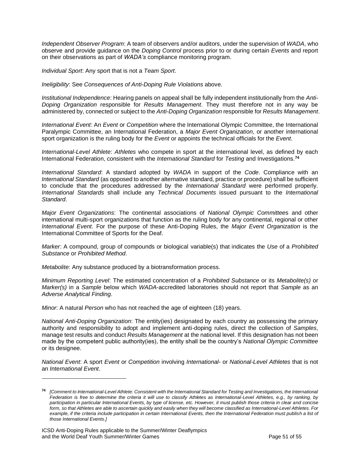*Independent Observer Program*: A team of observers and/or auditors, under the supervision of *WADA*, who observe and provide guidance on the *Doping Control* process prior to or during certain *Events* and report on their observations as part of *WADA's* compliance monitoring program.

*Individual Sport*: Any sport that is not a *Team Sport*.

*Ineligibility*: See *Consequences of Anti-Doping Rule Violations* above.

*Institutional Independence*: Hearing panels on appeal shall be fully independent institutionally from the *Anti-Doping Organization* responsible for *Results Management*. They must therefore not in any way be administered by, connected or subject to the *Anti-Doping Organization* responsible for *Results Management*.

*International Event*: An *Event* or *Competition* where the International Olympic Committee, the International Paralympic Committee, an International Federation, a *Major Event Organization*, or another international sport organization is the ruling body for the *Event* or appoints the technical officials for the *Event*.

*International-Level Athlete*: *Athletes* who compete in sport at the international level, as defined by each International Federation, consistent with the *International Standard* for *Testing* and Investigations.**<sup>74</sup>**

*International Standard*: A standard adopted by *WADA* in support of the *Code*. Compliance with an *International Standard* (as opposed to another alternative standard, practice or procedure) shall be sufficient to conclude that the procedures addressed by the *International Standard* were performed properly. *International Standards* shall include any *Technical Documents* issued pursuant to the *International Standard*.

*Major Event Organizations*: The continental associations of *National Olympic Committee*s and other international multi-sport organizations that function as the ruling body for any continental, regional or other *International Event*. For the purpose of these Anti-Doping Rules, the *Major Event Organization* is the International Committee of Sports for the Deaf.

*Marker*: A compound, group of compounds or biological variable(s) that indicates the *Use* of a *Prohibited Substance* or *Prohibited Method*.

*Metabolite*: Any substance produced by a biotransformation process.

*Minimum Reporting Level*: The estimated concentration of a *Prohibited Substance* or its *Metabolite(s)* or *Marker(s)* in a *Sample* below which *WADA*-accredited laboratories should not report that *Sample* as an *Adverse Analytical Finding*.

*Minor*: A natural *Person* who has not reached the age of eighteen (18) years.

*National Anti-Doping Organization*: The entity(ies) designated by each country as possessing the primary authority and responsibility to adopt and implement anti-doping rules, direct the collection of *Samples*, manage test results and conduct *Results Management* at the national level. If this designation has not been made by the competent public authority(ies), the entity shall be the country's *National Olympic Committee* or its designee.

*National Event*: A sport *Event* or *Competition* involving *International*- or *National-Level Athletes* that is not an *International Event*.

**<sup>74</sup>** *[Comment to International-Level Athlete: Consistent with the International Standard for Testing and Investigations, the International Federation is free to determine the criteria it will use to classify Athletes as International-Level Athletes, e.g., by ranking, by participation in particular International Events, by type of license, etc. However, it must publish those criteria in clear and concise form, so that Athletes are able to ascertain quickly and easily when they will become classified as International-Level Athletes. For*  example, if the criteria include participation in certain International Events, then the International Federation must publish a list of *those International Events.]*

ICSD Anti-Doping Rules applicable to the Summer/Winter Deaflympics and the World Deaf Youth Summer/Winter Games **Page 51** of 55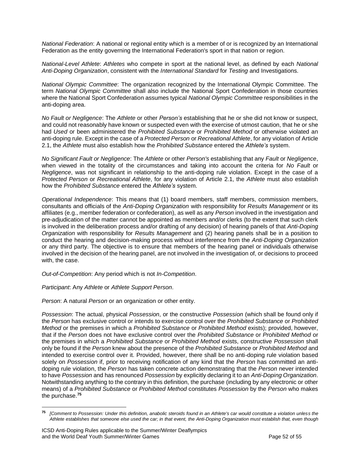*National Federation*: A national or regional entity which is a member of or is recognized by an International Federation as the entity governing the International Federation's sport in that nation or region.

*National-Level Athlete*: *Athletes* who compete in sport at the national level, as defined by each *National Anti-Doping Organization*, consistent with the *International Standard* for *Testing* and Investigations.

*National Olympic Committee*: The organization recognized by the International Olympic Committee. The term *National Olympic Committee* shall also include the National Sport Confederation in those countries where the National Sport Confederation assumes typical *National Olympic Committee* responsibilities in the anti-doping area.

*No Fault or Negligence*: The *Athlete* or other *Person's* establishing that he or she did not know or suspect, and could not reasonably have known or suspected even with the exercise of utmost caution, that he or she had *Used* or been administered the *Prohibited Substance* or *Prohibited Method* or otherwise violated an anti-doping rule. Except in the case of a *Protected Person* or *Recreational Athlete*, for any violation of Article 2.1, the *Athlete* must also establish how the *Prohibited Substance* entered the *Athlete's* system.

*No Significant Fault or Negligence*: The *Athlete* or other *Person's* establishing that any *Fault* or *Negligence*, when viewed in the totality of the circumstances and taking into account the criteria for *No Fault* or *Negligence*, was not significant in relationship to the anti-doping rule violation. Except in the case of a *Protected Person* or *Recreational Athlete*, for any violation of Article 2.1, the *Athlete* must also establish how the *Prohibited Substance* entered the *Athlete's* system.

*Operational Independence*: This means that (1) board members, staff members, commission members, consultants and officials of the *Anti-Doping Organization* with responsibility for *Results Management* or its affiliates (e.g., member federation or confederation), as well as any *Person* involved in the investigation and pre-adjudication of the matter cannot be appointed as members and/or clerks (to the extent that such clerk is involved in the deliberation process and/or drafting of any decision) of hearing panels of that *Anti-Doping Organization* with responsibility for *Results Management* and (2) hearing panels shall be in a position to conduct the hearing and decision-making process without interference from the *Anti-Doping Organization* or any third party. The objective is to ensure that members of the hearing panel or individuals otherwise involved in the decision of the hearing panel, are not involved in the investigation of, or decisions to proceed with, the case.

*Out-of-Competition*: Any period which is not *In-Competition*.

*Participant*: Any *Athlete* or *Athlete Support Person*.

*Person*: A natural *Person* or an organization or other entity.

*Possession*: The actual, physical *Possession*, or the constructive *Possession* (which shall be found only if the *Person* has exclusive control or intends to exercise control over the *Prohibited Substance* or *Prohibited Method* or the premises in which a *Prohibited Substance* or *Prohibited Method* exists); provided, however, that if the *Person* does not have exclusive control over the *Prohibited Substance* or *Prohibited Method* or the premises in which a *Prohibited Substance* or *Prohibited Method* exists, constructive *Possession* shall only be found if the *Person* knew about the presence of the *Prohibited Substance* or *Prohibited Method* and intended to exercise control over it. Provided, however, there shall be no anti-doping rule violation based solely on *Possession* if, prior to receiving notification of any kind that the *Person* has committed an antidoping rule violation, the *Person* has taken concrete action demonstrating that the *Person* never intended to have *Possession* and has renounced *Possession* by explicitly declaring it to an *Anti-Doping Organization*. Notwithstanding anything to the contrary in this definition, the purchase (including by any electronic or other means) of a *Prohibited Substance* or *Prohibited Method* constitutes *Possession* by the *Person* who makes the purchase. **75**

**<sup>75</sup>** *[Comment to Possession: Under this definition, anabolic steroids found in an Athlete's car would constitute a violation unless the Athlete establishes that someone else used the car; in that event, the Anti-Doping Organization must establish that, even though* 

ICSD Anti-Doping Rules applicable to the Summer/Winter Deaflympics and the World Deaf Youth Summer/Winter Games Page 52 of 55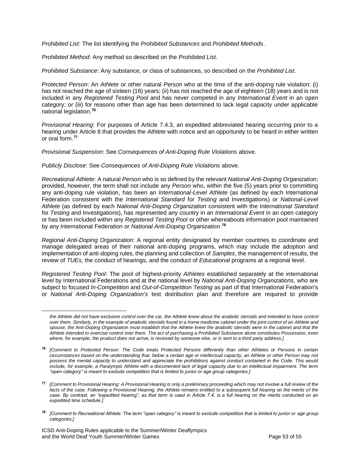*Prohibited List*: The list identifying the *Prohibited Substances* and *Prohibited Methods*.

*Prohibited Method*: Any method so described on the *Prohibited List*.

*Prohibited Substance*: Any substance, or class of substances, so described on the *Prohibited List*.

*Protected Person*: An *Athlete* or other natural *Person* who at the time of the anti-doping rule violation: (i) has not reached the age of sixteen (16) years; (ii) has not reached the age of eighteen (18) years and is not included in any *Registered Testing Pool* and has never competed in any *International Event* in an open category; or (iii) for reasons other than age has been determined to lack legal capacity under applicable national legislation.**<sup>76</sup>**

*Provisional Hearing*: For purposes of Article 7.4.3, an expedited abbreviated hearing occurring prior to a hearing under Article 8 that provides the *Athlete* with notice and an opportunity to be heard in either written or oral form.**<sup>77</sup>**

*Provisional Suspension*: See *Consequences of Anti-Doping Rule Violations* above.

*Publicly Disclose*: See *Consequences of Anti-Doping Rule Violations* above.

*Recreational Athlete*: A natural *Person* who is so defined by the relevant *National Anti-Doping Organization*; provided, however, the term shall not include any *Person* who, within the five (5) years prior to committing any anti-doping rule violation, has been an *International-Level Athlete* (as defined by each International Federation consistent with the *International Standard* for *Testing* and Investigations) or *National-Level Athlete* (as defined by each *National Anti-Doping Organization* consistent with the *International Standard* for *Testing* and Investigations), has represented any country in an *International Event* in an open category or has been included within any *Registered Testing Pool* or other whereabouts information pool maintained by any International Federation or *National Anti-Doping Organization*. **78**

*Regional Anti-Doping Organization*: A regional entity designated by member countries to coordinate and manage delegated areas of their national anti-doping programs, which may include the adoption and implementation of anti-doping rules, the planning and collection of *Samples*, the management of results, the review of *TUEs*, the conduct of hearings, and the conduct of *Educational* programs at a regional level.

*Registered Testing Pool*: The pool of highest-priority *Athletes* established separately at the international level by International Federations and at the national level by *National Anti-Doping Organizations*, who are subject to focused *In-Competition* and *Out-of-Competition Testing* as part of that International Federation's or *National Anti-Doping Organization's* test distribution plan and therefore are required to provide

the Athlete did not have exclusive control over the car, the Athlete knew about the anabolic steroids and intended to have control *over them. Similarly, in the example of anabolic steroids found in a home medicine cabinet under the joint control of an Athlete and spouse, the Anti-Doping Organization must establish that the Athlete knew the anabolic steroids were in the cabinet and that the Athlete intended to exercise control over them. The act of purchasing a Prohibited Substance alone constitutes Possession, even where, for example, the product does not arrive, is received by someone else, or is sent to a third party address.]*

**<sup>76</sup>** *[Comment to Protected Person: The Code treats Protected Persons differently than other Athletes or Persons in certain circumstances based on the understanding that, below a certain age or intellectual capacity, an Athlete or other Person may not possess the mental capacity to understand and appreciate the prohibitions against conduct contained in the Code. This would include, for example, a Paralympic Athlete with a documented lack of legal capacity due to an intellectual impairment. The term "open category" is meant to exclude competition that is limited to junior or age group categories.]*

**<sup>77</sup>** *[Comment to Provisional Hearing: A Provisional Hearing is only a preliminary proceeding which may not involve a full review of the*  facts of the case. Following a Provisional Hearing, the Athlete remains entitled to a subsequent full hearing on the merits of the *case. By contrast, an "expedited hearing", as that term is used in Article 7.4, is a full hearing on the merits conducted on an expedited time schedule.]*

**<sup>78</sup>** *[Comment to Recreational Athlete: The term "open category" is meant to exclude competition that is limited to junior or age group categories.]*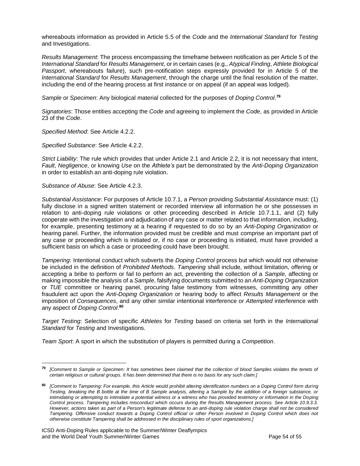whereabouts information as provided in Article 5.5 of the *Code* and the *International Standard* for *Testing*  and Investigations.

*Results Management*: The process encompassing the timeframe between notification as per Article 5 of the *International Standard* for *Results Management*, or in certain cases (e.g., *Atypical Finding*, *Athlete Biological Passport*, whereabouts failure), such pre-notification steps expressly provided for in Article 5 of the *International Standard* for *Results Management*, through the charge until the final resolution of the matter, including the end of the hearing process at first instance or on appeal (if an appeal was lodged).

*Sample* or *Specimen*: Any biological material collected for the purposes of *Doping Control*. **79**

*Signatories*: Those entities accepting the *Code* and agreeing to implement the *Code*, as provided in Article 23 of the *Code*.

*Specified Method*: See Article 4.2.2.

*Specified Substance*: See Article 4.2.2.

*Strict Liability*: The rule which provides that under Article 2.1 and Article 2.2, it is not necessary that intent, *Fault*, *Negligence*, or knowing *Use* on the *Athlete's* part be demonstrated by the *Anti-Doping Organization* in order to establish an anti-doping rule violation.

*Substance of Abuse*: See Article 4.2.3.

*Substantial Assistance*: For purposes of Article 10.7.1, a *Person* providing *Substantial Assistance* must: (1) fully disclose in a signed written statement or recorded interview all information he or she possesses in relation to anti-doping rule violations or other proceeding described in Article 10.7.1.1, and (2) fully cooperate with the investigation and adjudication of any case or matter related to that information, including, for example, presenting testimony at a hearing if requested to do so by an *Anti-Doping Organization* or hearing panel. Further, the information provided must be credible and must comprise an important part of any case or proceeding which is initiated or, if no case or proceeding is initiated, must have provided a sufficient basis on which a case or proceeding could have been brought.

*Tampering*: Intentional conduct which subverts the *Doping Control* process but which would not otherwise be included in the definition of *Prohibited Methods*. *Tampering* shall include, without limitation, offering or accepting a bribe to perform or fail to perform an act, preventing the collection of a *Sample*, affecting or making impossible the analysis of a *Sample*, falsifying documents submitted to an *Anti-Doping Organization* or *TUE* committee or hearing panel, procuring false testimony from witnesses, committing any other fraudulent act upon the *Anti-Doping Organization* or hearing body to affect *Results Management* or the imposition of *Consequences*, and any other similar intentional interference or *Attempted* interference with any aspect of *Doping Control*. **80**

*Target Testing*: Selection of specific *Athletes* for *Testing* based on criteria set forth in the *International Standard* for *Testing* and Investigations.

*Team Sport*: A sport in which the substitution of players is permitted during a *Competition*.

**<sup>79</sup>** *[Comment to Sample or Specimen: It has sometimes been claimed that the collection of blood Samples violates the tenets of certain religious or cultural groups. It has been determined that there is no basis for any such claim.]*

**<sup>80</sup>** *[Comment to Tampering: For example, this Article would prohibit altering identification numbers on a Doping Control form during Testing, breaking the B bottle at the time of B Sample analysis, altering a Sample by the addition of a foreign substance, or intimidating or attempting to intimidate a potential witness or a witness who has provided testimony or information in the Doping Control process. Tampering includes misconduct which occurs during the Results Management process. See Article 10.9.3.3. However, actions taken as part of a Person's legitimate defense to an anti-doping rule violation charge shall not be considered Tampering. Offensive conduct towards a Doping Control official or other Person involved in Doping Control which does not otherwise constitute Tampering shall be addressed in the disciplinary rules of sport organizations.]*